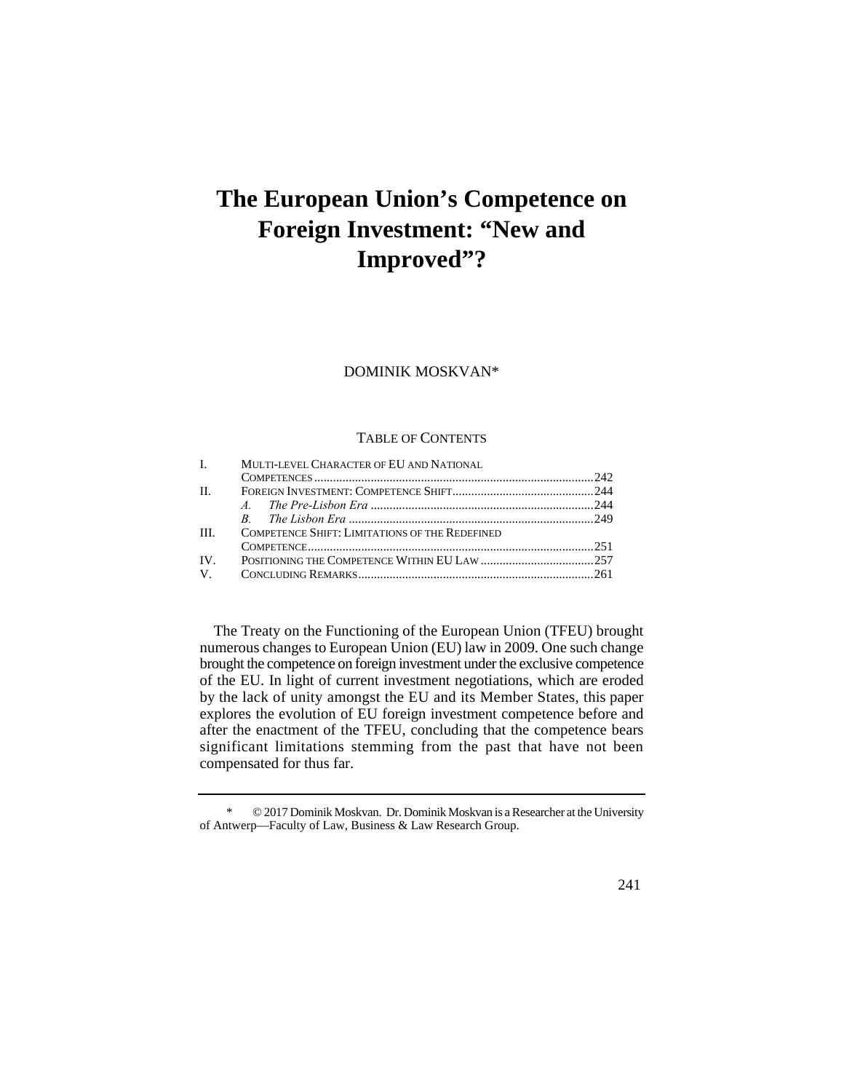# **The European Union's Competence on Foreign Investment: "New and Improved"?**

DOMINIK MOSKVAN\*

## TABLE OF CONTENTS

|         | I. MULTI-LEVEL CHARACTER OF EU AND NATIONAL           |  |
|---------|-------------------------------------------------------|--|
|         |                                                       |  |
| $\Pi$ . |                                                       |  |
|         |                                                       |  |
|         |                                                       |  |
| III.    | <b>COMPETENCE SHIFT: LIMITATIONS OF THE REDEFINED</b> |  |
|         |                                                       |  |
|         |                                                       |  |
|         |                                                       |  |

 by the lack of unity amongst the EU and its Member States, this paper The Treaty on the Functioning of the European Union (TFEU) brought numerous changes to European Union (EU) law in 2009. One such change brought the competence on foreign investment under the exclusive competence of the EU. In light of current investment negotiations, which are eroded explores the evolution of EU foreign investment competence before and after the enactment of the TFEU, concluding that the competence bears significant limitations stemming from the past that have not been compensated for thus far.

<sup>\* © 2017</sup> Dominik Moskvan. Dr. Dominik Moskvan is a Researcher at the University of Antwerp—Faculty of Law, Business & Law Research Group.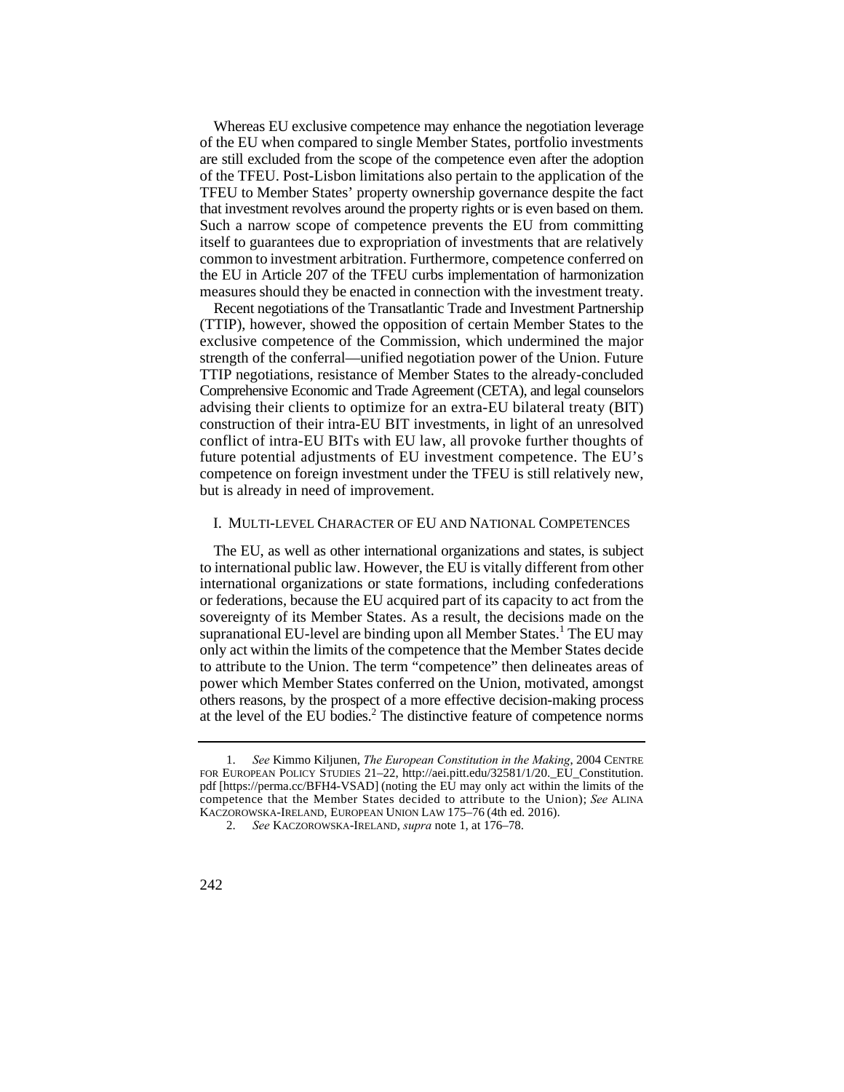Whereas EU exclusive competence may enhance the negotiation leverage of the EU when compared to single Member States, portfolio investments are still excluded from the scope of the competence even after the adoption of the TFEU. Post-Lisbon limitations also pertain to the application of the TFEU to Member States' property ownership governance despite the fact that investment revolves around the property rights or is even based on them. Such a narrow scope of competence prevents the EU from committing itself to guarantees due to expropriation of investments that are relatively common to investment arbitration. Furthermore, competence conferred on the EU in Article 207 of the TFEU curbs implementation of harmonization measures should they be enacted in connection with the investment treaty.

 advising their clients to optimize for an extra-EU bilateral treaty (BIT) Recent negotiations of the Transatlantic Trade and Investment Partnership (TTIP), however, showed the opposition of certain Member States to the exclusive competence of the Commission, which undermined the major strength of the conferral—unified negotiation power of the Union. Future TTIP negotiations, resistance of Member States to the already-concluded Comprehensive Economic and Trade Agreement (CETA), and legal counselors construction of their intra-EU BIT investments, in light of an unresolved conflict of intra-EU BITs with EU law, all provoke further thoughts of future potential adjustments of EU investment competence. The EU's competence on foreign investment under the TFEU is still relatively new, but is already in need of improvement.

## I. MULTI-LEVEL CHARACTER OF EU AND NATIONAL COMPETENCES

The EU, as well as other international organizations and states, is subject to international public law. However, the EU is vitally different from other international organizations or state formations, including confederations or federations, because the EU acquired part of its capacity to act from the sovereignty of its Member States. As a result, the decisions made on the supranational EU-level are binding upon all Member States.<sup>1</sup> The EU may only act within the limits of the competence that the Member States decide to attribute to the Union. The term "competence" then delineates areas of power which Member States conferred on the Union, motivated, amongst others reasons, by the prospect of a more effective decision-making process at the level of the EU bodies.2 The distinctive feature of competence norms

 1. *See* Kimmo Kiljunen, *The European Constitution in the Making*, 2004 CENTRE FOR EUROPEAN POLICY STUDIES 21–22, http://aei.pitt.edu/32581/1/20.\_EU\_Constitution. pdf [https://perma.cc/BFH4-VSAD] (noting the EU may only act within the limits of the competence that the Member States decided to attribute to the Union); *See* ALINA KACZOROWSKA-IRELAND, EUROPEAN UNION LAW 175–76 (4th ed. 2016).

<sup>2.</sup> *See* KACZOROWSKA-IRELAND, *supra* note 1, at 176–78.

<sup>242</sup>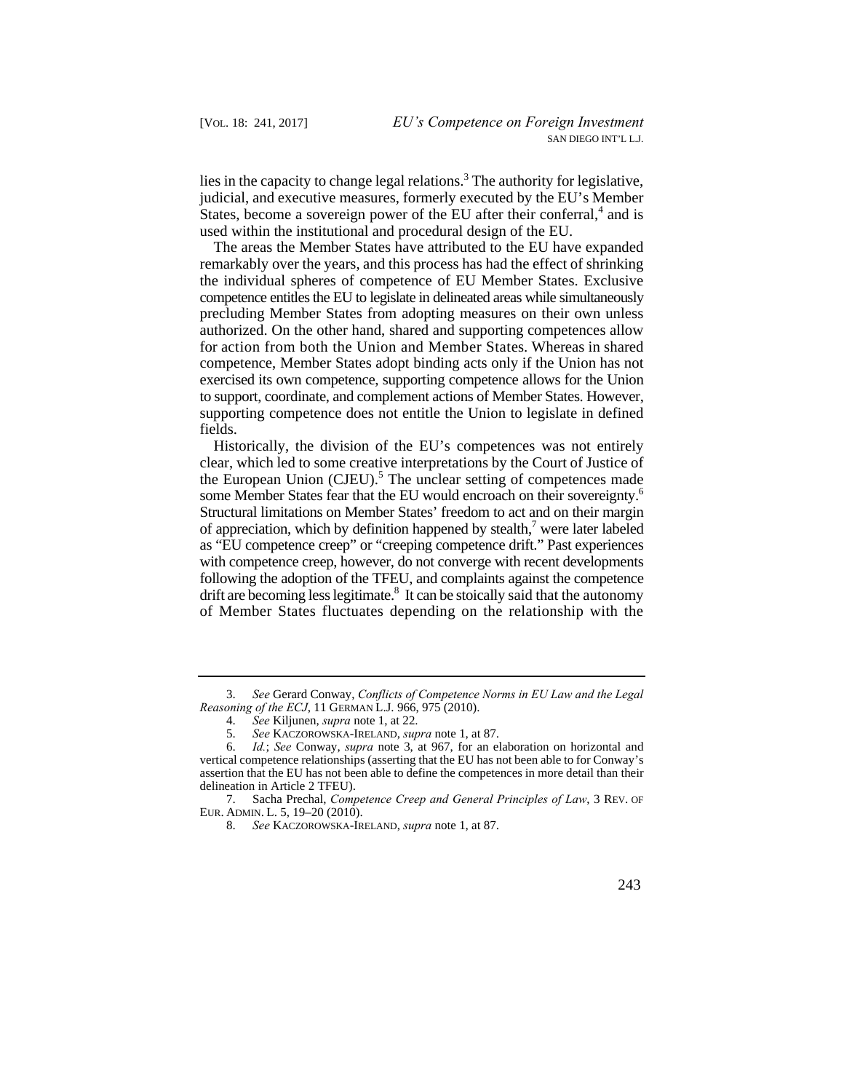judicial, and executive measures, formerly executed by the EU's Member lies in the capacity to change legal relations.<sup>3</sup> The authority for legislative, States, become a sovereign power of the EU after their conferral,<sup>4</sup> and is used within the institutional and procedural design of the EU.

The areas the Member States have attributed to the EU have expanded remarkably over the years, and this process has had the effect of shrinking the individual spheres of competence of EU Member States. Exclusive competence entitles the EU to legislate in delineated areas while simultaneously precluding Member States from adopting measures on their own unless authorized. On the other hand, shared and supporting competences allow for action from both the Union and Member States. Whereas in shared competence, Member States adopt binding acts only if the Union has not exercised its own competence, supporting competence allows for the Union to support, coordinate, and complement actions of Member States. However, supporting competence does not entitle the Union to legislate in defined fields.

drift are becoming less legitimate.<sup>8</sup> It can be stoically said that the autonomy Historically, the division of the EU's competences was not entirely clear, which led to some creative interpretations by the Court of Justice of the European Union (CJEU).<sup>5</sup> The unclear setting of competences made some Member States fear that the EU would encroach on their sovereignty.<sup>6</sup> Structural limitations on Member States' freedom to act and on their margin of appreciation, which by definition happened by stealth,<sup>7</sup> were later labeled as "EU competence creep" or "creeping competence drift." Past experiences with competence creep, however, do not converge with recent developments following the adoption of the TFEU, and complaints against the competence of Member States fluctuates depending on the relationship with the

<sup>3.</sup> *See* Gerard Conway, *Conflicts of Competence Norms in EU Law and the Legal Reasoning of the ECJ*, 11 GERMAN L.J. 966, 975 (2010).

<sup>4.</sup> *See* Kiljunen, *supra* note 1, at 22.

<sup>5.</sup> *See* KACZOROWSKA-IRELAND, *supra* note 1, at 87.

<sup>6.</sup> *Id.*; *See* Conway, *supra* note 3, at 967, for an elaboration on horizontal and vertical competence relationships (asserting that the EU has not been able to for Conway's assertion that the EU has not been able to define the competences in more detail than their delineation in Article 2 TFEU).

<sup>7.</sup>  EUR. ADMIN. L. 5, 19–20 (2010). 7. Sacha Prechal, *Competence Creep and General Principles of Law*, 3 REV. OF

<sup>8.</sup> *See* KACZOROWSKA-IRELAND, *supra* note 1, at 87.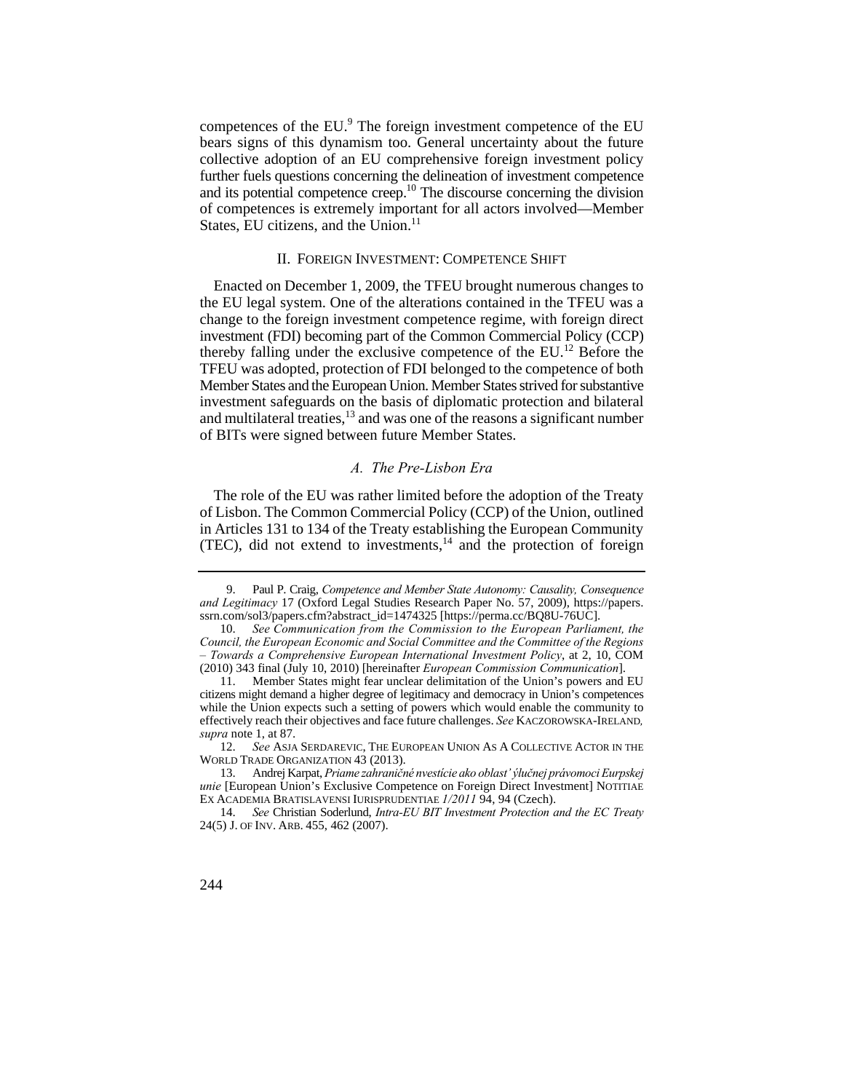competences of the EU.<sup>9</sup> The foreign investment competence of the EU bears signs of this dynamism too. General uncertainty about the future collective adoption of an EU comprehensive foreign investment policy further fuels questions concerning the delineation of investment competence and its potential competence creep.10 The discourse concerning the division of competences is extremely important for all actors involved—Member States, EU citizens, and the Union.<sup>11</sup>

## II. FOREIGN INVESTMENT: COMPETENCE SHIFT

Enacted on December 1, 2009, the TFEU brought numerous changes to the EU legal system. One of the alterations contained in the TFEU was a change to the foreign investment competence regime, with foreign direct investment (FDI) becoming part of the Common Commercial Policy (CCP) thereby falling under the exclusive competence of the  $EU<sup>12</sup>$  Before the TFEU was adopted, protection of FDI belonged to the competence of both Member States and the European Union. Member States strived for substantive investment safeguards on the basis of diplomatic protection and bilateral and multilateral treaties, $13$  and was one of the reasons a significant number of BITs were signed between future Member States.

#### *A. The Pre-Lisbon Era*

The role of the EU was rather limited before the adoption of the Treaty of Lisbon. The Common Commercial Policy (CCP) of the Union, outlined in Articles 131 to 134 of the Treaty establishing the European Community (TEC), did not extend to investments, $14$  and the protection of foreign

<sup>9.</sup> Paul P. Craig, *Competence and Member State Autonomy: Causality, Consequence and Legitimacy* 17 (Oxford Legal Studies Research Paper No. 57, 2009), https://papers. ssrn.com/sol3/papers.cfm?abstract\_id=1474325 [https://perma.cc/BQ8U-76UC].

 10. *See Communication from the Commission to the European Parliament, the Council, the European Economic and Social Committee and the Committee of the Regions – Towards a Comprehensive European International Investment Policy*, at 2, 10, COM (2010) 343 final (July 10, 2010) [hereinafter *European Commission Communication*].

<sup>11.</sup> Member States might fear unclear delimitation of the Union's powers and EU citizens might demand a higher degree of legitimacy and democracy in Union's competences while the Union expects such a setting of powers which would enable the community to effectively reach their objectives and face future challenges. *See* KACZOROWSKA-IRELAND*, supra* note 1, at 87.

<sup>12.</sup> *See* ASJA SERDAREVIC, THE EUROPEAN UNION AS A COLLECTIVE ACTOR IN THE WORLD TRADE ORGANIZATION 43 (2013).

 13. Andrej Karpat, *Priame zahraničné nvestície ako oblast' ýlučnej právomoci Eurpskej unie* [European Union's Exclusive Competence on Foreign Direct Investment] NOTITIAE EX ACADEMIA BRATISLAVENSI IURISPRUDENTIAE *1/2011* 94, 94 (Czech).

 24(5) J. OF INV. ARB. 455, 462 (2007). 14. *See* Christian Soderlund, *Intra-EU BIT Investment Protection and the EC Treaty* 

<sup>244</sup>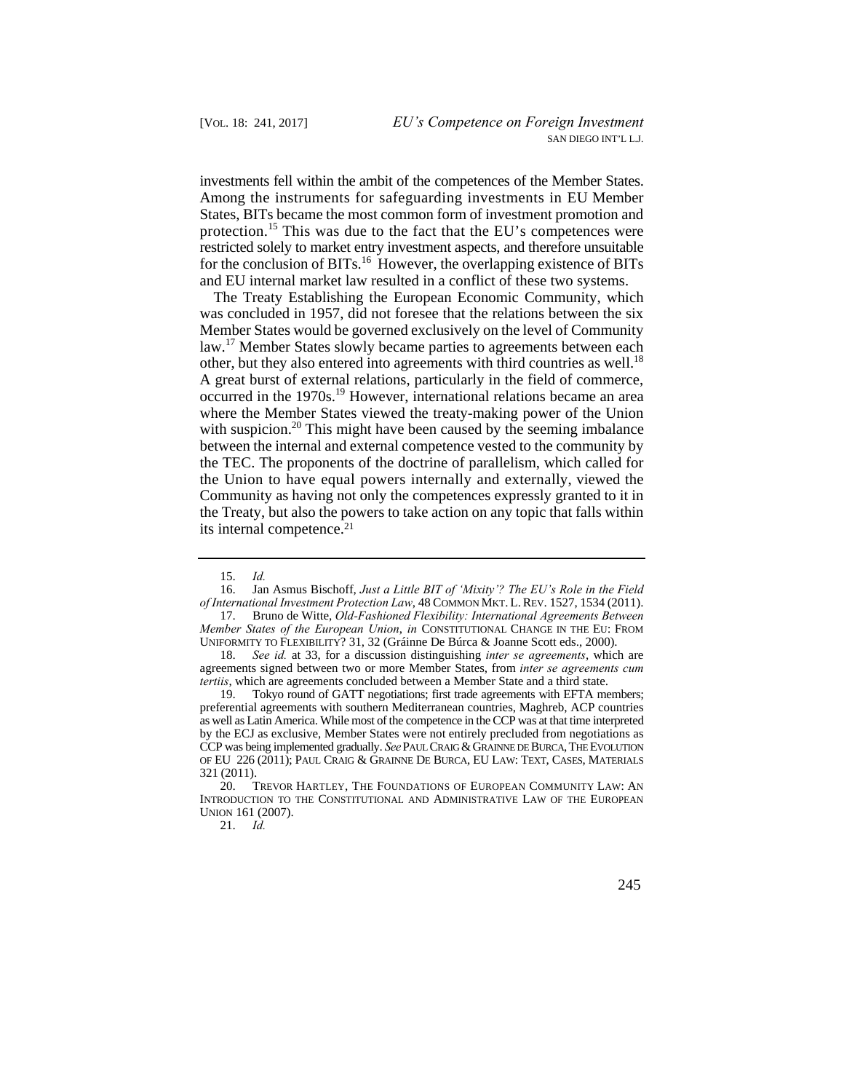investments fell within the ambit of the competences of the Member States. protection.<sup>15</sup> This was due to the fact that the EU's competences were Among the instruments for safeguarding investments in EU Member States, BITs became the most common form of investment promotion and restricted solely to market entry investment aspects, and therefore unsuitable for the conclusion of BITs.<sup>16</sup> However, the overlapping existence of BITs and EU internal market law resulted in a conflict of these two systems.

 the Union to have equal powers internally and externally, viewed the The Treaty Establishing the European Economic Community, which was concluded in 1957, did not foresee that the relations between the six Member States would be governed exclusively on the level of Community law.<sup>17</sup> Member States slowly became parties to agreements between each other, but they also entered into agreements with third countries as well.<sup>18</sup> A great burst of external relations, particularly in the field of commerce, occurred in the 1970s.<sup>19</sup> However, international relations became an area where the Member States viewed the treaty-making power of the Union with suspicion.<sup>20</sup> This might have been caused by the seeming imbalance between the internal and external competence vested to the community by the TEC. The proponents of the doctrine of parallelism, which called for Community as having not only the competences expressly granted to it in the Treaty, but also the powers to take action on any topic that falls within its internal competence.21

 *of International Investment Protection Law*, 48 COMMON MKT. L. REV. 1527, 1534 (2011). 16. Jan Asmus Bischoff, *Just a Little BIT of 'Mixity'? The EU's Role in the Field*

18. *See id.* at 33, for a discussion distinguishing *inter se agreements*, which are agreements signed between two or more Member States, from *inter se agreements cum tertiis*, which are agreements concluded between a Member State and a third state.

 as well as Latin America. While most of the competence in the CCP was at that time interpreted OF EU 226 (2011); PAUL CRAIG & GRAINNE DE BURCA, EU LAW: TEXT, CASES, MATERIALS 19. Tokyo round of GATT negotiations; first trade agreements with EFTA members; preferential agreements with southern Mediterranean countries, Maghreb, ACP countries by the ECJ as exclusive, Member States were not entirely precluded from negotiations as CCP was being implemented gradually. *See* PAUL CRAIG & GRAINNE DE BURCA, THE EVOLUTION 321 (2011).

21. *Id.* 

 <sup>15.</sup> *Id.* 

<sup>17.</sup> Bruno de Witte, *Old-Fashioned Flexibility: International Agreements Between Member States of the European Union*, *in* CONSTITUTIONAL CHANGE IN THE EU: FROM UNIFORMITY TO FLEXIBILITY? 31, 32 (Gráinne De Búrca & Joanne Scott eds., 2000).

<sup>20.</sup> TREVOR HARTLEY, THE FOUNDATIONS OF EUROPEAN COMMUNITY LAW: AN INTRODUCTION TO THE CONSTITUTIONAL AND ADMINISTRATIVE LAW OF THE EUROPEAN UNION 161 (2007).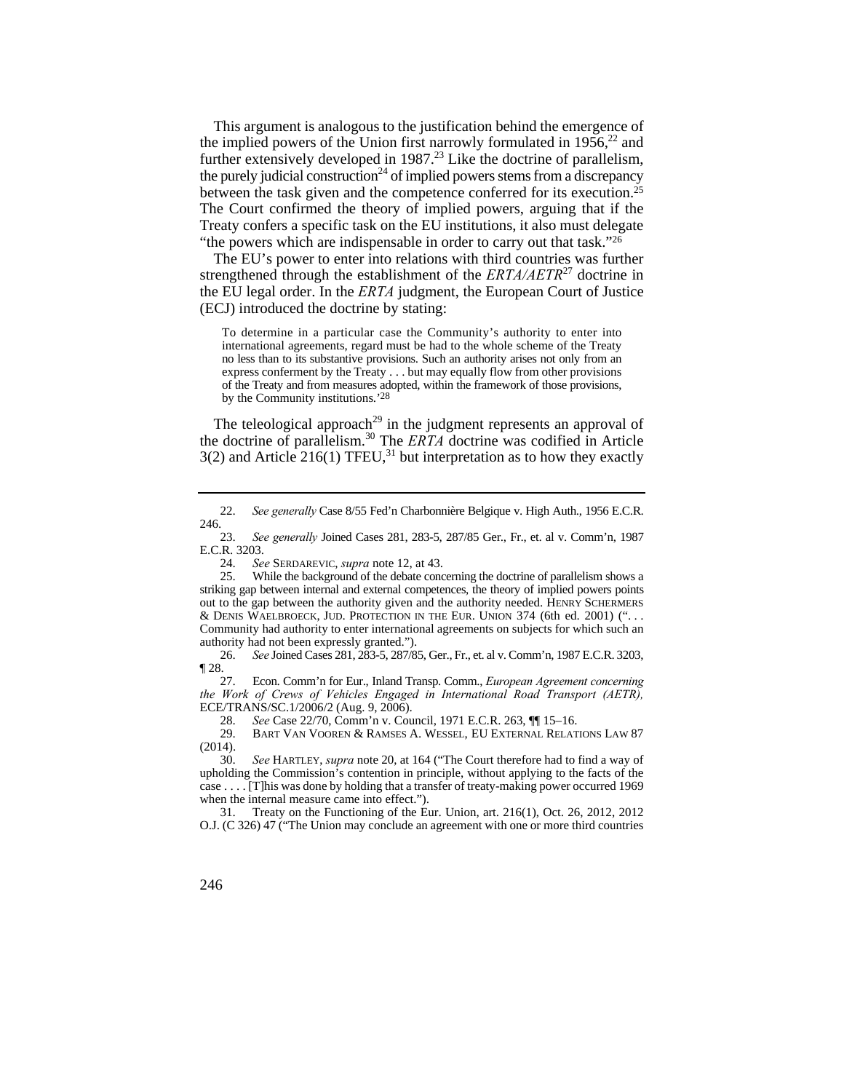This argument is analogous to the justification behind the emergence of the implied powers of the Union first narrowly formulated in  $1956$ <sup>22</sup> and further extensively developed in 1987.<sup>23</sup> Like the doctrine of parallelism, the purely judicial construction<sup>24</sup> of implied powers stems from a discrepancy between the task given and the competence conferred for its execution.25 The Court confirmed the theory of implied powers, arguing that if the Treaty confers a specific task on the EU institutions, it also must delegate "the powers which are indispensable in order to carry out that task."<sup>26</sup>

The EU's power to enter into relations with third countries was further strengthened through the establishment of the *ERTA/AETR*27 doctrine in the EU legal order. In the *ERTA* judgment, the European Court of Justice (ECJ) introduced the doctrine by stating:

 no less than to its substantive provisions. Such an authority arises not only from an To determine in a particular case the Community's authority to enter into international agreements, regard must be had to the whole scheme of the Treaty express conferment by the Treaty . . . but may equally flow from other provisions of the Treaty and from measures adopted, within the framework of those provisions, by the Community institutions.'28

The teleological approach<sup>29</sup> in the judgment represents an approval of the doctrine of parallelism.30 The *ERTA* doctrine was codified in Article  $3(2)$  and Article 216(1) TFEU,<sup>31</sup> but interpretation as to how they exactly

 26. *See* Joined Cases 281, 283-5, 287/85, Ger., Fr., et. al v. Comm'n, 1987 E.C.R. 3203,  $\P 28.$ <br>27.

27. Econ. Comm'n for Eur., Inland Transp. Comm., *European Agreement concerning the Work of Crews of Vehicles Engaged in International Road Transport (AETR),* ECE/TRANS/SC.1/2006/2 (Aug. 9, 2006).

28. *See* Case 22/70, Comm'n v. Council, 1971 E.C.R. 263, ¶¶ 15–16. 29. BART VAN VOOREN & RAMSES A. WESSEL, EU EXTERNAL RELATIONS LAW 87 (2014).

 30. *See* HARTLEY, *supra* note 20, at 164 ("The Court therefore had to find a way of upholding the Commission's contention in principle, without applying to the facts of the case . . . . [T]his was done by holding that a transfer of treaty-making power occurred 1969 when the internal measure came into effect.").

31. Treaty on the Functioning of the Eur. Union, art. 216(1), Oct. 26, 2012, 2012 O.J. (C 326) 47 ("The Union may conclude an agreement with one or more third countries

<sup>22.</sup> *See generally* Case 8/55 Fed'n Charbonnière Belgique v. High Auth., 1956 E.C.R. 246.

 23. *See generally* Joined Cases 281, 283-5, 287/85 Ger., Fr., et. al v. Comm'n, 1987 E.C.R. 3203.<br>24. Se

See SERDAREVIC, *supra* note 12, at 43.

 & DENIS WAELBROECK, JUD. PROTECTION IN THE EUR. UNION 374 (6th ed. 2001) (". . . 25. While the background of the debate concerning the doctrine of parallelism shows a striking gap between internal and external competences, the theory of implied powers points out to the gap between the authority given and the authority needed. HENRY SCHERMERS Community had authority to enter international agreements on subjects for which such an authority had not been expressly granted.").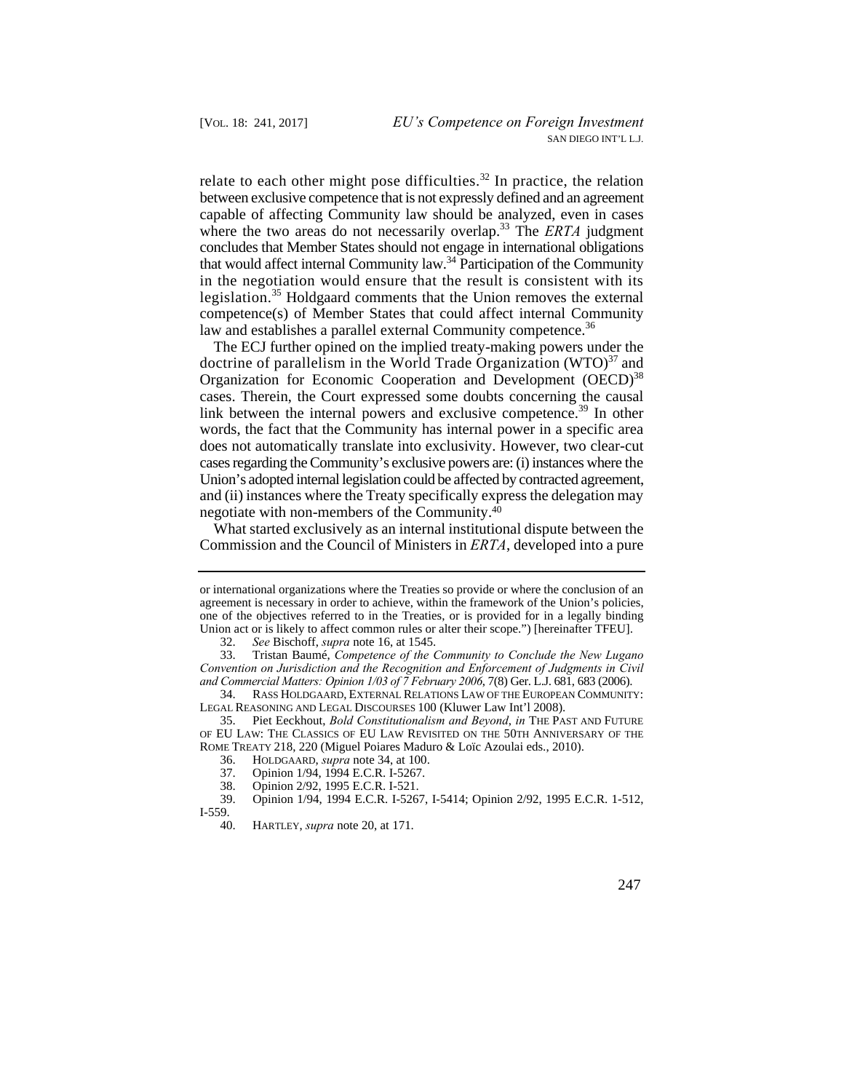relate to each other might pose difficulties.<sup>32</sup> In practice, the relation between exclusive competence that is not expressly defined and an agreement capable of affecting Community law should be analyzed, even in cases where the two areas do not necessarily overlap.<sup>33</sup> The *ERTA* judgment concludes that Member States should not engage in international obligations that would affect internal Community law.34 Participation of the Community in the negotiation would ensure that the result is consistent with its legislation.<sup>35</sup> Holdgaard comments that the Union removes the external competence(s) of Member States that could affect internal Community law and establishes a parallel external Community competence.<sup>36</sup>

The ECJ further opined on the implied treaty-making powers under the doctrine of parallelism in the World Trade Organization  $(WTO)^{37}$  and Organization for Economic Cooperation and Development (OECD)<sup>38</sup> cases. Therein, the Court expressed some doubts concerning the causal link between the internal powers and exclusive competence.<sup>39</sup> In other words, the fact that the Community has internal power in a specific area does not automatically translate into exclusivity. However, two clear-cut cases regarding the Community's exclusive powers are: (i) instances where the Union's adopted internal legislation could be affected by contracted agreement, and (ii) instances where the Treaty specifically express the delegation may negotiate with non-members of the Community.40

What started exclusively as an internal institutional dispute between the Commission and the Council of Ministers in *ERTA*, developed into a pure

or international organizations where the Treaties so provide or where the conclusion of an agreement is necessary in order to achieve, within the framework of the Union's policies, one of the objectives referred to in the Treaties, or is provided for in a legally binding Union act or is likely to affect common rules or alter their scope.") [hereinafter TFEU].

<sup>32.</sup> *See* Bischoff, *supra* note 16, at 1545.

 *and Commercial Matters: Opinion 1/03 of 7 February 2006*, 7(8) Ger. L.J. 681, 683 (2006). 33. Tristan Baumé, *Competence of the Community to Conclude the New Lugano Convention on Jurisdiction and the Recognition and Enforcement of Judgments in Civil* 

<sup>34.</sup> RASS HOLDGAARD, EXTERNAL RELATIONS LAW OF THE EUROPEAN COMMUNITY: LEGAL REASONING AND LEGAL DISCOURSES 100 (Kluwer Law Int'l 2008).

 OF EU LAW: THE CLASSICS OF EU LAW REVISITED ON THE 50TH ANNIVERSARY OF THE 35. Piet Eeckhout, *Bold Constitutionalism and Beyond*, *in* THE PAST AND FUTURE ROME TREATY 218, 220 (Miguel Poiares Maduro & Loïc Azoulai eds., 2010).<br>36. HOLDGAARD, *supra* note 34, at 100.

<sup>36.</sup> HOLDGAARD, *supra* note 34, at 100.

<sup>37.</sup> Opinion 1/94, 1994 E.C.R. I-5267.

<sup>38.</sup> Opinion 2/92, 1995 E.C.R. I-521.

<sup>39.</sup> Opinion 1/94, 1994 E.C.R. I-5267, I-5414; Opinion 2/92, 1995 E.C.R. 1-512, I-559.

<sup>40.</sup> HARTLEY, *supra* note 20, at 171.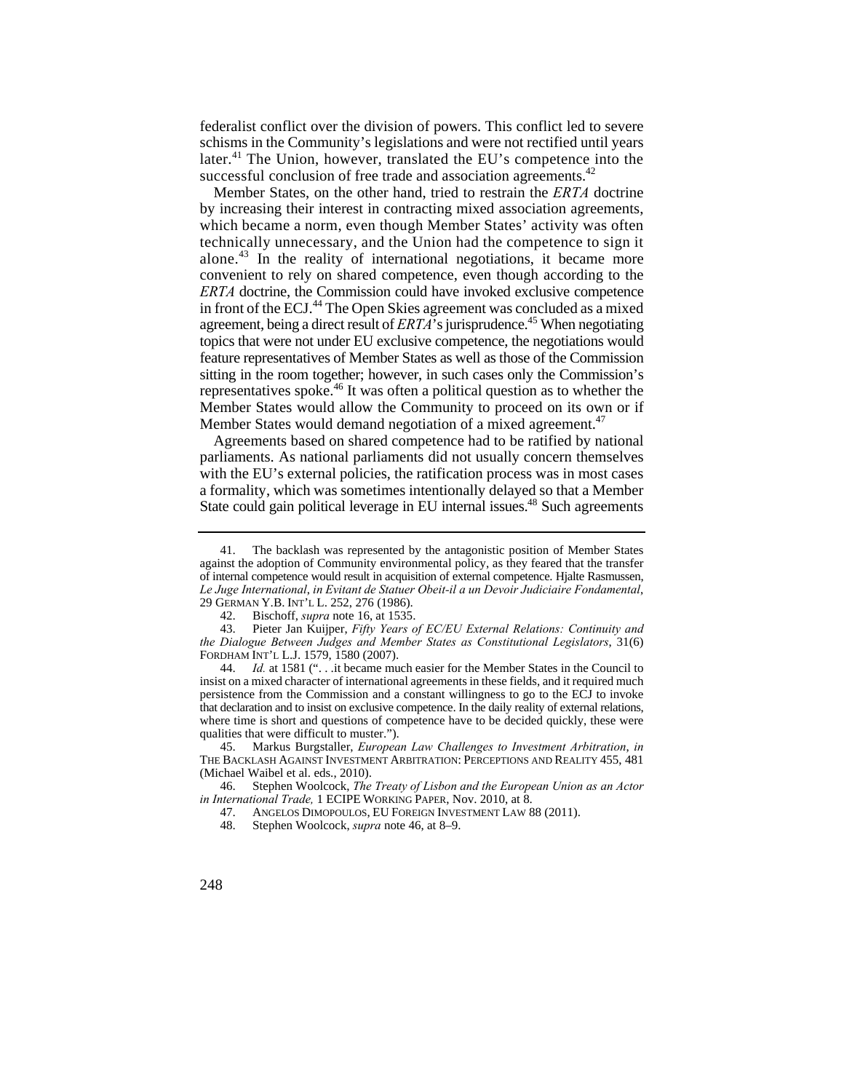later.<sup>41</sup> The Union, however, translated the EU's competence into the federalist conflict over the division of powers. This conflict led to severe schisms in the Community's legislations and were not rectified until years successful conclusion of free trade and association agreements.<sup>42</sup>

 topics that were not under EU exclusive competence, the negotiations would Member States, on the other hand, tried to restrain the *ERTA* doctrine by increasing their interest in contracting mixed association agreements, which became a norm, even though Member States' activity was often technically unnecessary, and the Union had the competence to sign it alone.43 In the reality of international negotiations, it became more convenient to rely on shared competence, even though according to the *ERTA* doctrine, the Commission could have invoked exclusive competence in front of the ECJ.<sup>44</sup> The Open Skies agreement was concluded as a mixed agreement, being a direct result of  $ERTA$ 's jurisprudence.<sup>45</sup> When negotiating feature representatives of Member States as well as those of the Commission sitting in the room together; however, in such cases only the Commission's representatives spoke.46 It was often a political question as to whether the Member States would allow the Community to proceed on its own or if Member States would demand negotiation of a mixed agreement.<sup>47</sup>

Agreements based on shared competence had to be ratified by national parliaments. As national parliaments did not usually concern themselves with the EU's external policies, the ratification process was in most cases a formality, which was sometimes intentionally delayed so that a Member State could gain political leverage in EU internal issues.<sup>48</sup> Such agreements

 against the adoption of Community environmental policy, as they feared that the transfer 41. The backlash was represented by the antagonistic position of Member States of internal competence would result in acquisition of external competence. Hjalte Rasmussen, *Le Juge International*, *in Evitant de Statuer Obeit-il a un Devoir Judiciaire Fondamental*, 29 GERMAN Y.B. INT'L L. 252, 276 (1986).

<sup>42.</sup> Bischoff, *supra* note 16, at 1535.

<sup>43.</sup> Pieter Jan Kuijper, *Fifty Years of EC/EU External Relations: Continuity and the Dialogue Between Judges and Member States as Constitutional Legislators*, 31(6) FORDHAM INT'L L.J. 1579, 1580 (2007).

 that declaration and to insist on exclusive competence. In the daily reality of external relations, 44. *Id.* at 1581 (". . .it became much easier for the Member States in the Council to insist on a mixed character of international agreements in these fields, and it required much persistence from the Commission and a constant willingness to go to the ECJ to invoke where time is short and questions of competence have to be decided quickly, these were qualities that were difficult to muster.").

<sup>45.</sup> Markus Burgstaller, *European Law Challenges to Investment Arbitration*, *in*  THE BACKLASH AGAINST INVESTMENT ARBITRATION: PERCEPTIONS AND REALITY 455, 481 (Michael Waibel et al. eds., 2010).

 46. Stephen Woolcock, *The Treaty of Lisbon and the European Union as an Actor in International Trade,* 1 ECIPE WORKING PAPER, Nov. 2010, at 8.

 47. ANGELOS DIMOPOULOS, EU FOREIGN INVESTMENT LAW 88 (2011).

<sup>48.</sup> Stephen Woolcock, *supra* note 46, at 8–9.

<sup>248</sup>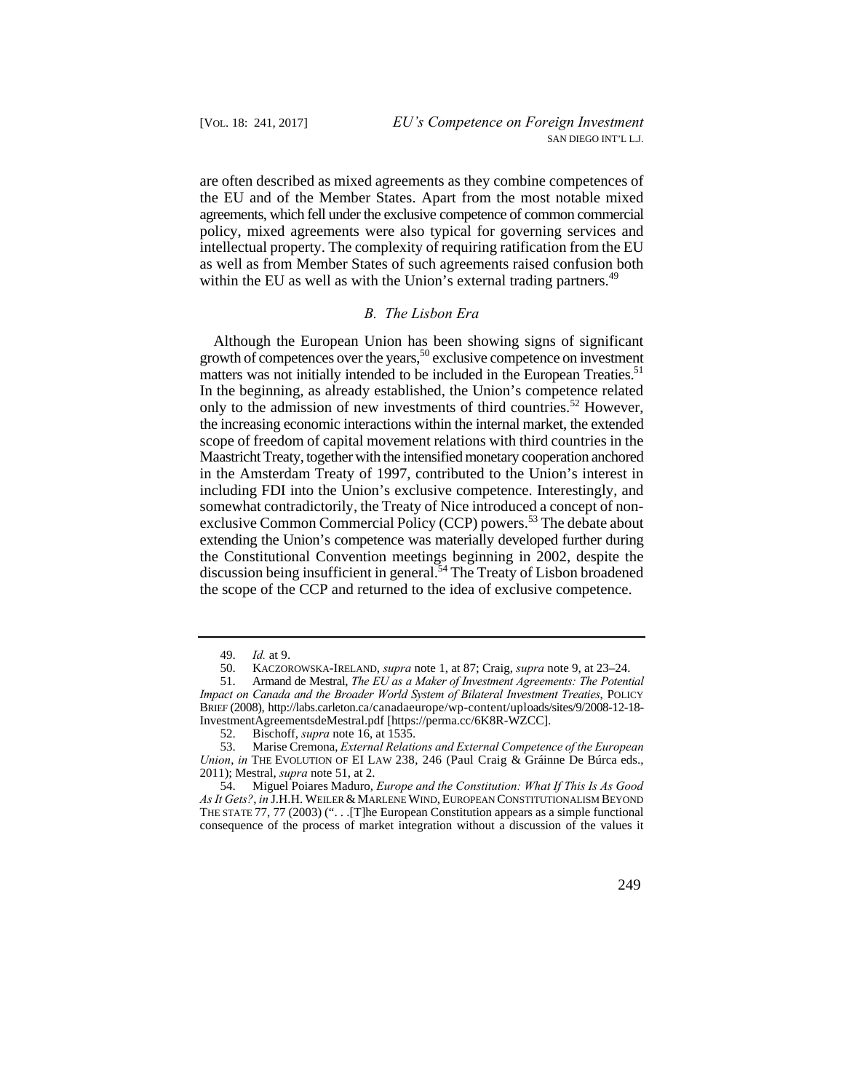are often described as mixed agreements as they combine competences of the EU and of the Member States. Apart from the most notable mixed agreements, which fell under the exclusive competence of common commercial policy, mixed agreements were also typical for governing services and intellectual property. The complexity of requiring ratification from the EU as well as from Member States of such agreements raised confusion both within the EU as well as with the Union's external trading partners.<sup>49</sup>

## *B. The Lisbon Era*

matters was not initially intended to be included in the European Treaties.<sup>51</sup> Although the European Union has been showing signs of significant growth of competences over the years,<sup>50</sup> exclusive competence on investment In the beginning, as already established, the Union's competence related only to the admission of new investments of third countries.<sup>52</sup> However, the increasing economic interactions within the internal market, the extended scope of freedom of capital movement relations with third countries in the Maastricht Treaty, together with the intensified monetary cooperation anchored in the Amsterdam Treaty of 1997, contributed to the Union's interest in including FDI into the Union's exclusive competence. Interestingly, and somewhat contradictorily, the Treaty of Nice introduced a concept of nonexclusive Common Commercial Policy (CCP) powers.<sup>53</sup> The debate about extending the Union's competence was materially developed further during the Constitutional Convention meetings beginning in 2002, despite the discussion being insufficient in general.54 The Treaty of Lisbon broadened the scope of the CCP and returned to the idea of exclusive competence.

54. Miguel Poiares Maduro, *Europe and the Constitution: What If This Is As Good As It Gets?*, *in* J.H.H. WEILER & MARLENE WIND, EUROPEAN CONSTITUTIONALISM BEYOND THE STATE 77, 77 (2003) (". . .[T]he European Constitution appears as a simple functional consequence of the process of market integration without a discussion of the values it

<sup>49.</sup> *Id.* at 9.

 <sup>50.</sup> KACZOROWSKA-IRELAND, *supra* note 1, at 87; Craig, *supra* note 9, at 23–24.

 $51.$  51. Armand de Mestral, *The EU as a Maker of Investment Agreements: The Potential Impact on Canada and the Broader World System of Bilateral Investment Treaties*, POLICY BRIEF (2008), http://labs.carleton.ca/canadaeurope/wp-content/uploads/sites/9/2008-12-18 InvestmentAgreementsdeMestral.pdf [https://perma.cc/6K8R-WZCC].

<sup>52.</sup> Bischoff, *supra* note 16, at 1535.

 *Union*, *in* THE EVOLUTION OF EI LAW 238, 246 (Paul Craig & Gráinne De Búrca eds., 53. Marise Cremona, *External Relations and External Competence of the European*  2011); Mestral, *supra* note 51, at 2.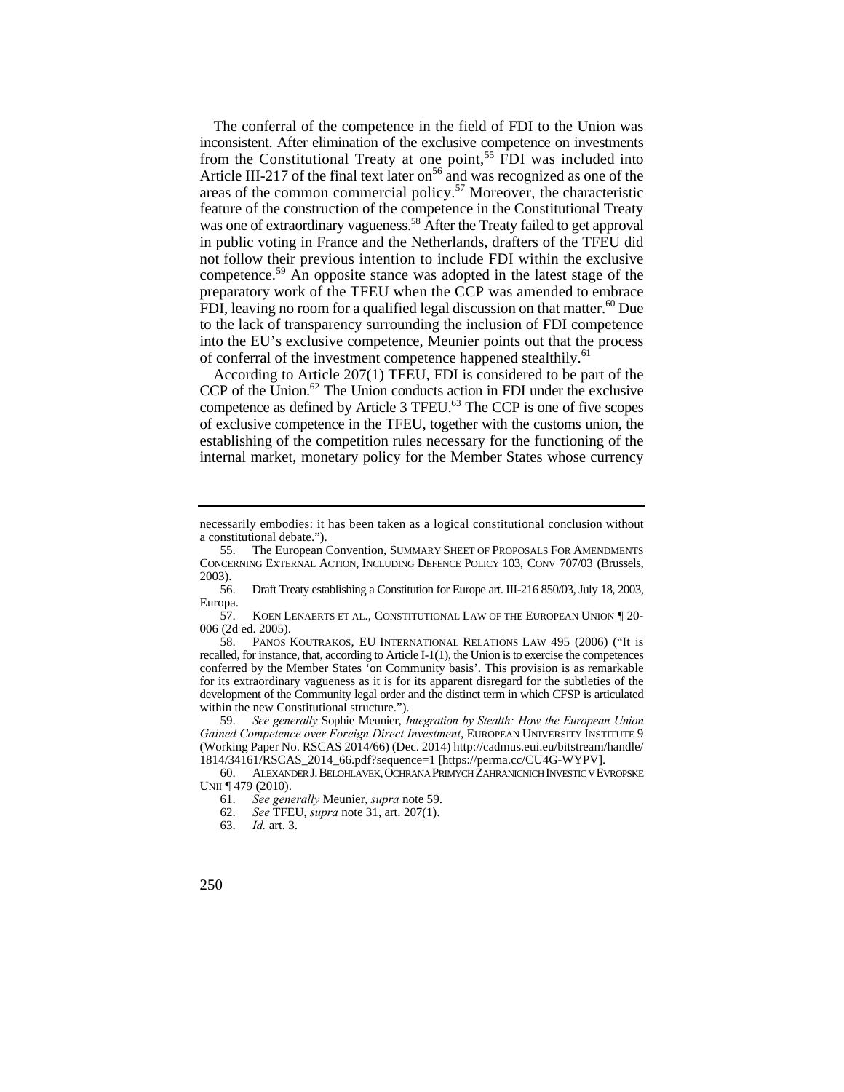areas of the common commercial policy.<sup>57</sup> Moreover, the characteristic not follow their previous intention to include FDI within the exclusive preparatory work of the TFEU when the CCP was amended to embrace The conferral of the competence in the field of FDI to the Union was inconsistent. After elimination of the exclusive competence on investments from the Constitutional Treaty at one point,<sup>55</sup> FDI was included into Article III-217 of the final text later on<sup>56</sup> and was recognized as one of the feature of the construction of the competence in the Constitutional Treaty was one of extraordinary vagueness.<sup>58</sup> After the Treaty failed to get approval in public voting in France and the Netherlands, drafters of the TFEU did competence.59 An opposite stance was adopted in the latest stage of the FDI, leaving no room for a qualified legal discussion on that matter.<sup>60</sup> Due to the lack of transparency surrounding the inclusion of FDI competence into the EU's exclusive competence, Meunier points out that the process of conferral of the investment competence happened stealthily.<sup>61</sup>

CCP of the Union. $62$  The Union conducts action in FDI under the exclusive competence as defined by Article 3 TFEU.<sup>63</sup> The CCP is one of five scopes According to Article 207(1) TFEU, FDI is considered to be part of the of exclusive competence in the TFEU, together with the customs union, the establishing of the competition rules necessary for the functioning of the internal market, monetary policy for the Member States whose currency

60. ALEXANDER J. BELOHLAVEK,OCHRANA PRIMYCH ZAHRANICNICH INVESTIC V EVROPSKE UNII ¶ 479 (2010).

necessarily embodies: it has been taken as a logical constitutional conclusion without a constitutional debate.").

<sup>55.</sup> The European Convention, SUMMARY SHEET OF PROPOSALS FOR AMENDMENTS CONCERNING EXTERNAL ACTION, INCLUDING DEFENCE POLICY 103, CONV 707/03 (Brussels, 2003).

<sup>56.</sup> Draft Treaty establishing a Constitution for Europe art. III-216 850/03, July 18, 2003, Europa.

<sup>57.</sup> KOEN LENAERTS ET AL., CONSTITUTIONAL LAW OF THE EUROPEAN UNION ¶ 20 006 (2d ed. 2005).

 for its extraordinary vagueness as it is for its apparent disregard for the subtleties of the development of the Community legal order and the distinct term in which CFSP is articulated 58. PANOS KOUTRAKOS, EU INTERNATIONAL RELATIONS LAW 495 (2006) ("It is recalled, for instance, that, according to Article I-1(1), the Union is to exercise the competences conferred by the Member States 'on Community basis'. This provision is as remarkable within the new Constitutional structure.").

<sup>59.</sup> *See generally* Sophie Meunier, *Integration by Stealth: How the European Union Gained Competence over Foreign Direct Investment*, EUROPEAN UNIVERSITY INSTITUTE 9 (Working Paper No. RSCAS 2014/66) (Dec. 2014) http://cadmus.eui.eu/bitstream/handle/ 1814/34161/RSCAS\_2014\_66.pdf?sequence=1 [https://perma.cc/CU4G-WYPV].

<sup>61.</sup> *See generally* Meunier, *supra* note 59.

<sup>62.</sup> *See* TFEU, *supra* note 31, art. 207(1).

<sup>63.</sup> *Id.* art. 3.

<sup>250</sup>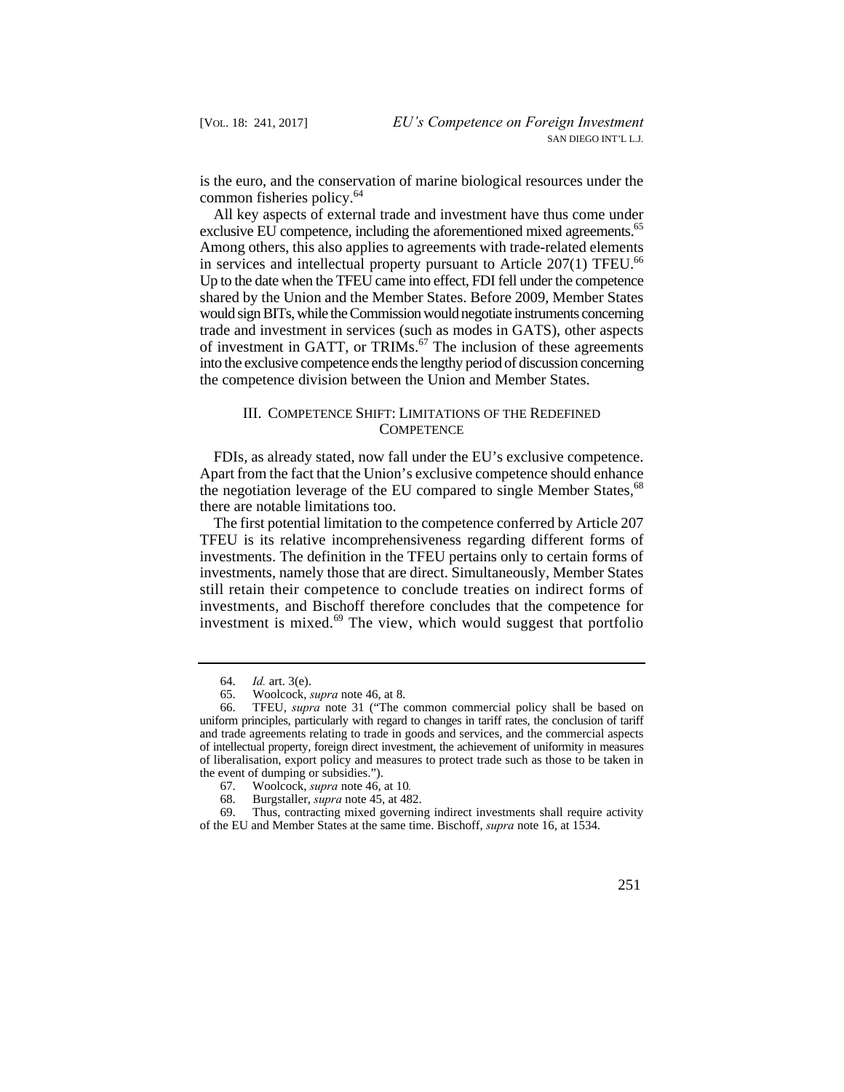is the euro, and the conservation of marine biological resources under the common fisheries policy.<sup>64</sup>

All key aspects of external trade and investment have thus come under exclusive EU competence, including the aforementioned mixed agreements.<sup>65</sup> Among others, this also applies to agreements with trade-related elements in services and intellectual property pursuant to Article  $207(1)$  TFEU.<sup>66</sup> Up to the date when the TFEU came into effect, FDI fell under the competence shared by the Union and the Member States. Before 2009, Member States would sign BITs, while the Commission would negotiate instruments concerning trade and investment in services (such as modes in GATS), other aspects of investment in GATT, or TRIMs. $<sup>67</sup>$  The inclusion of these agreements</sup> into the exclusive competence ends the lengthy period of discussion concerning the competence division between the Union and Member States.

## III. COMPETENCE SHIFT: LIMITATIONS OF THE REDEFINED **COMPETENCE**

FDIs, as already stated, now fall under the EU's exclusive competence. Apart from the fact that the Union's exclusive competence should enhance the negotiation leverage of the EU compared to single Member States,<sup>68</sup> there are notable limitations too.

The first potential limitation to the competence conferred by Article 207 TFEU is its relative incomprehensiveness regarding different forms of investments. The definition in the TFEU pertains only to certain forms of investments, namely those that are direct. Simultaneously, Member States still retain their competence to conclude treaties on indirect forms of investments, and Bischoff therefore concludes that the competence for investment is mixed. $69$  The view, which would suggest that portfolio

 of the EU and Member States at the same time. Bischoff, *supra* note 16, at 1534. 69. Thus, contracting mixed governing indirect investments shall require activity



 <sup>64.</sup> *Id.* art. 3(e).

<sup>65.</sup> Woolcock, *supra* note 46, at 8.

<sup>66.</sup>  uniform principles, particularly with regard to changes in tariff rates, the conclusion of tariff of intellectual property, foreign direct investment, the achievement of uniformity in measures 66. TFEU, *supra* note 31 ("The common commercial policy shall be based on and trade agreements relating to trade in goods and services, and the commercial aspects of liberalisation, export policy and measures to protect trade such as those to be taken in the event of dumping or subsidies.").

<sup>67.</sup> Woolcock, *supra* note 46, at 10*.* 

 68. Burgstaller, *supra* note 45, at 482.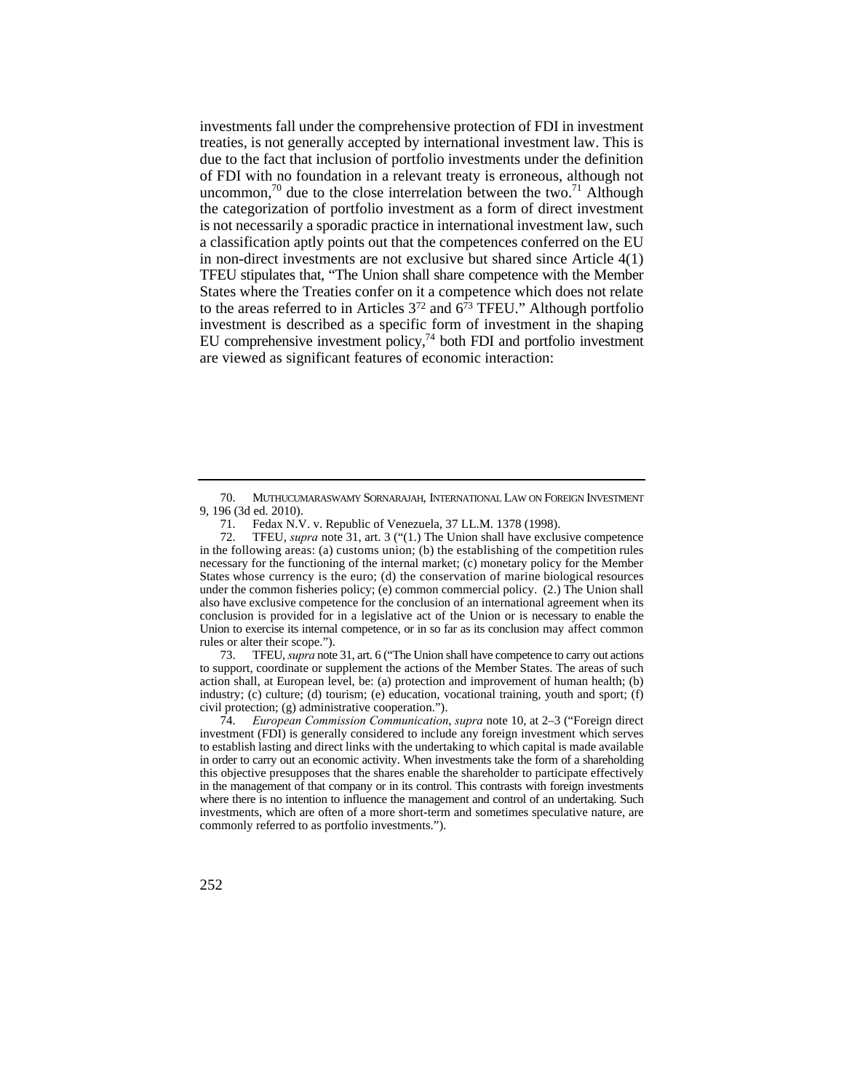TFEU stipulates that, "The Union shall share competence with the Member EU comprehensive investment policy, $74$  both FDI and portfolio investment investments fall under the comprehensive protection of FDI in investment treaties, is not generally accepted by international investment law. This is due to the fact that inclusion of portfolio investments under the definition of FDI with no foundation in a relevant treaty is erroneous, although not uncommon,<sup>70</sup> due to the close interrelation between the two.<sup>71</sup> Although the categorization of portfolio investment as a form of direct investment is not necessarily a sporadic practice in international investment law, such a classification aptly points out that the competences conferred on the EU in non-direct investments are not exclusive but shared since Article 4(1) States where the Treaties confer on it a competence which does not relate to the areas referred to in Articles  $3^{72}$  and  $6^{73}$  TFEU." Although portfolio investment is described as a specific form of investment in the shaping are viewed as significant features of economic interaction:

 73. TFEU, *supra* note 31, art. 6 ("The Union shall have competence to carry out actions to support, coordinate or supplement the actions of the Member States. The areas of such action shall, at European level, be: (a) protection and improvement of human health; (b) industry; (c) culture; (d) tourism; (e) education, vocational training, youth and sport; (f) civil protection; (g) administrative cooperation.").

74. *European Commission Communication*, *supra* note 10, at 2–3 ("Foreign direct investment (FDI) is generally considered to include any foreign investment which serves to establish lasting and direct links with the undertaking to which capital is made available in order to carry out an economic activity. When investments take the form of a shareholding this objective presupposes that the shares enable the shareholder to participate effectively in the management of that company or in its control. This contrasts with foreign investments where there is no intention to influence the management and control of an undertaking. Such investments, which are often of a more short-term and sometimes speculative nature, are commonly referred to as portfolio investments.").



<sup>70.</sup> MUTHUCUMARASWAMY SORNARAJAH, INTERNATIONAL LAW ON FOREIGN INVESTMENT 9, 196 (3d ed. 2010).

<sup>71.</sup> Fedax N.V. v. Republic of Venezuela, 37 LL.M. 1378 (1998).

<sup>72.</sup>  necessary for the functioning of the internal market; (c) monetary policy for the Member States whose currency is the euro; (d) the conservation of marine biological resources also have exclusive competence for the conclusion of an international agreement when its conclusion is provided for in a legislative act of the Union or is necessary to enable the Union to exercise its internal competence, or in so far as its conclusion may affect common TFEU, *supra* note 31, art. 3 ("(1.) The Union shall have exclusive competence in the following areas: (a) customs union; (b) the establishing of the competition rules under the common fisheries policy; (e) common commercial policy. (2.) The Union shall rules or alter their scope.").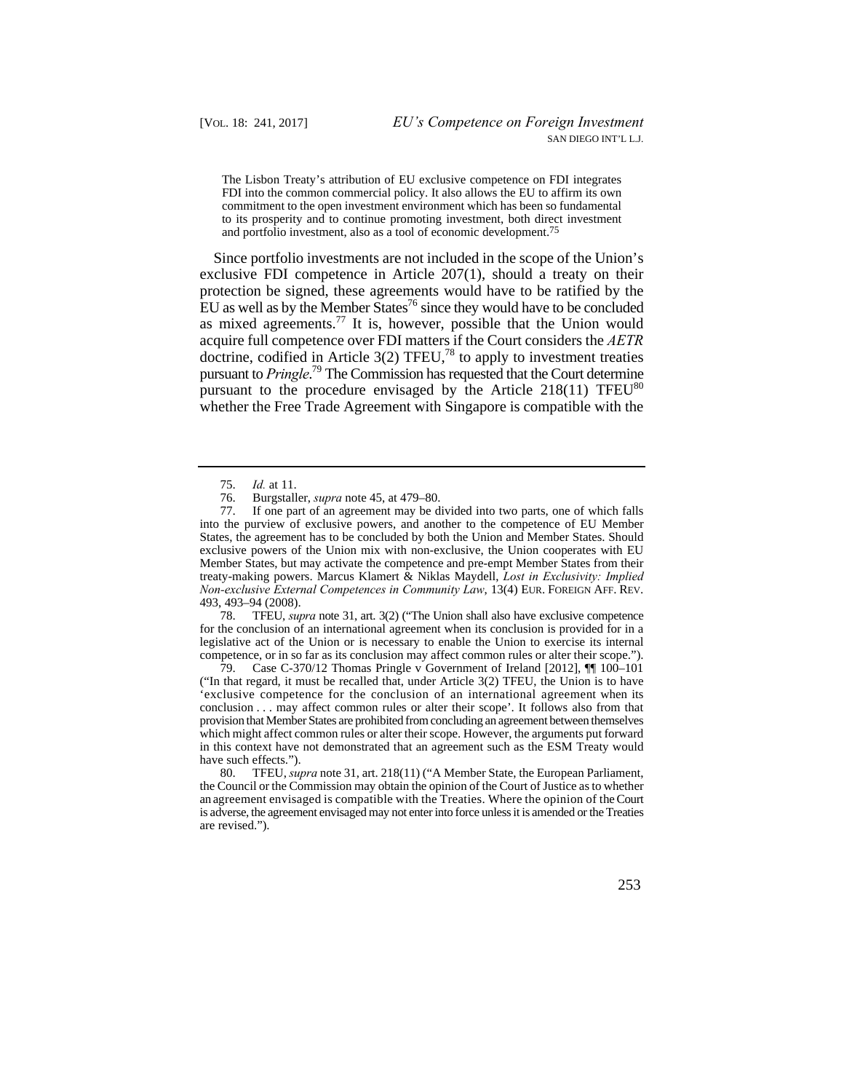The Lisbon Treaty's attribution of EU exclusive competence on FDI integrates FDI into the common commercial policy. It also allows the EU to affirm its own commitment to the open investment environment which has been so fundamental to its prosperity and to continue promoting investment, both direct investment and portfolio investment, also as a tool of economic development.75

Since portfolio investments are not included in the scope of the Union's exclusive FDI competence in Article 207(1), should a treaty on their protection be signed, these agreements would have to be ratified by the EU as well as by the Member States<sup>76</sup> since they would have to be concluded as mixed agreements.<sup>77</sup> It is, however, possible that the Union would acquire full competence over FDI matters if the Court considers the *AETR*  doctrine, codified in Article 3(2) TFEU,<sup>78</sup> to apply to investment treaties pursuant to *Pringle*. 79 The Commission has requested that the Court determine pursuant to the procedure envisaged by the Article  $218(11)$  TFEU<sup>80</sup> whether the Free Trade Agreement with Singapore is compatible with the

78 78. TFEU, *supra* note 31, art. 3(2) ("The Union shall also have exclusive competence for the conclusion of an international agreement when its conclusion is provided for in a legislative act of the Union or is necessary to enable the Union to exercise its internal competence, or in so far as its conclusion may affect common rules or alter their scope.").

 'exclusive competence for the conclusion of an international agreement when its conclusion . . . may affect common rules or alter their scope'. It follows also from that 79. Case C-370/12 Thomas Pringle v Government of Ireland [2012],  $\P\P$  100–101 ("In that regard, it must be recalled that, under Article 3(2) TFEU, the Union is to have provision that Member States are prohibited from concluding an agreement between themselves which might affect common rules or alter their scope. However, the arguments put forward in this context have not demonstrated that an agreement such as the ESM Treaty would have such effects.").

80. an agreement envisaged is compatible with the Treaties. Where the opinion of the Court 80. TFEU, *supra* note 31, art. 218(11) ("A Member State, the European Parliament, the Council or the Commission may obtain the opinion of the Court of Justice as to whether is adverse, the agreement envisaged may not enter into force unless it is amended or the Treaties are revised.").



<sup>75.</sup> *Id.* at 11.

 76. Burgstaller, *supra* note 45, at 479–80.

 into the purview of exclusive powers, and another to the competence of EU Member 77. If one part of an agreement may be divided into two parts, one of which falls States, the agreement has to be concluded by both the Union and Member States. Should exclusive powers of the Union mix with non-exclusive, the Union cooperates with EU Member States, but may activate the competence and pre-empt Member States from their treaty-making powers. Marcus Klamert & Niklas Maydell, *Lost in Exclusivity: Implied Non-exclusive External Competences in Community Law*, 13(4) EUR. FOREIGN AFF. REV. 493, 493–94 (2008).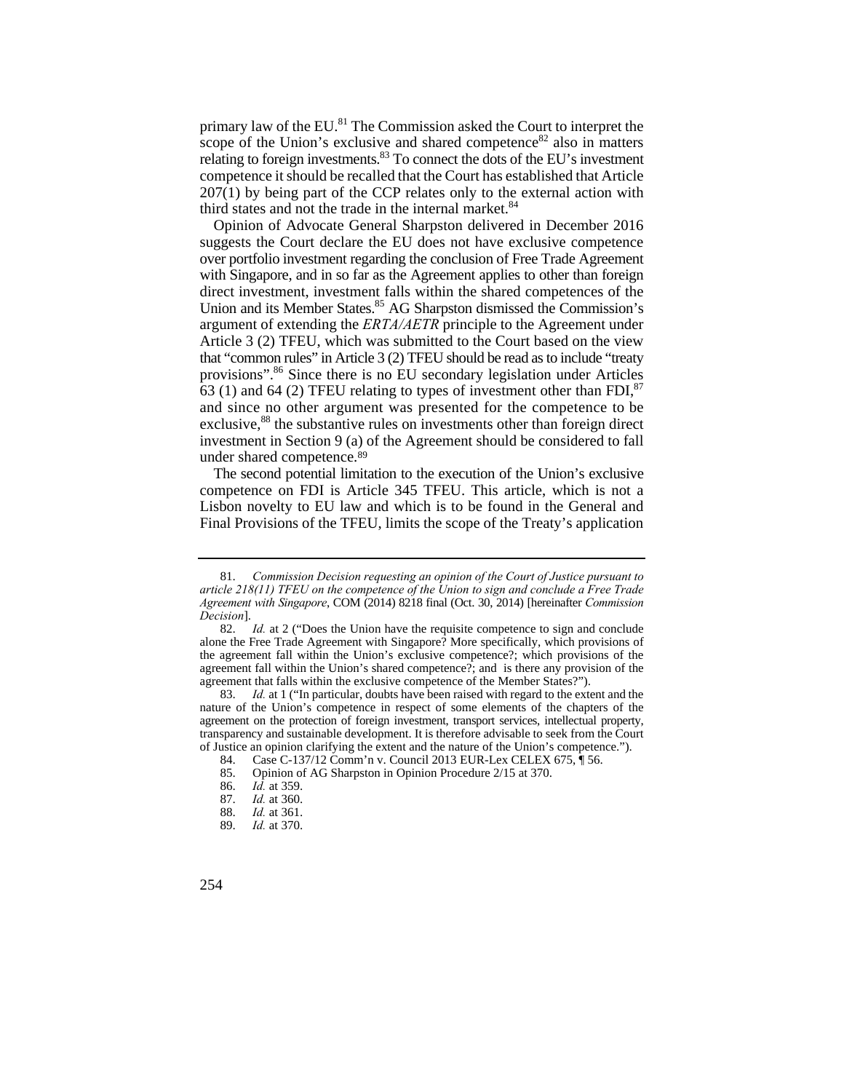primary law of the EU.<sup>81</sup> The Commission asked the Court to interpret the scope of the Union's exclusive and shared competence<sup>82</sup> also in matters relating to foreign investments. $83$  To connect the dots of the EU's investment competence it should be recalled that the Court has established that Article 207(1) by being part of the CCP relates only to the external action with third states and not the trade in the internal market.<sup>84</sup>

 and since no other argument was presented for the competence to be Opinion of Advocate General Sharpston delivered in December 2016 suggests the Court declare the EU does not have exclusive competence over portfolio investment regarding the conclusion of Free Trade Agreement with Singapore, and in so far as the Agreement applies to other than foreign direct investment, investment falls within the shared competences of the Union and its Member States.<sup>85</sup> AG Sharpston dismissed the Commission's argument of extending the *ERTA/AETR* principle to the Agreement under Article 3 (2) TFEU, which was submitted to the Court based on the view that "common rules" in Article 3 (2) TFEU should be read as to include "treaty provisions".86 Since there is no EU secondary legislation under Articles  $63$  (1) and 64 (2) TFEU relating to types of investment other than FDI,  $87$ exclusive,<sup>88</sup> the substantive rules on investments other than foreign direct investment in Section 9 (a) of the Agreement should be considered to fall under shared competence.89

The second potential limitation to the execution of the Union's exclusive competence on FDI is Article 345 TFEU. This article, which is not a Lisbon novelty to EU law and which is to be found in the General and Final Provisions of the TFEU, limits the scope of the Treaty's application

 *Agreement with Singapore*, COM (2014) 8218 final (Oct. 30, 2014) [hereinafter *Commission*  81. *Commission Decision requesting an opinion of the Court of Justice pursuant to article 218(11) TFEU on the competence of the Union to sign and conclude a Free Trade Decision*].

 agreement fall within the Union's shared competence?; and is there any provision of the 82. *Id.* at 2 ("Does the Union have the requisite competence to sign and conclude alone the Free Trade Agreement with Singapore? More specifically, which provisions of the agreement fall within the Union's exclusive competence?; which provisions of the agreement that falls within the exclusive competence of the Member States?").

<sup>83.</sup> *Id.* at 1 ("In particular, doubts have been raised with regard to the extent and the nature of the Union's competence in respect of some elements of the chapters of the agreement on the protection of foreign investment, transport services, intellectual property, transparency and sustainable development. It is therefore advisable to seek from the Court of Justice an opinion clarifying the extent and the nature of the Union's competence.").

<sup>84.</sup> Case C-137/12 Comm'n v. Council 2013 EUR-Lex CELEX 675,  $\frac{1}{3}$  56.

<sup>85.</sup> Opinion of AG Sharpston in Opinion Procedure 2/15 at 370.<br>86. *Id.* at 359.

 $I\bar{d}$  at 359.

<sup>87.</sup> *Id.* at 360.

<sup>88.</sup> *Id.* at 361.

*Id.* at 370.

<sup>254</sup>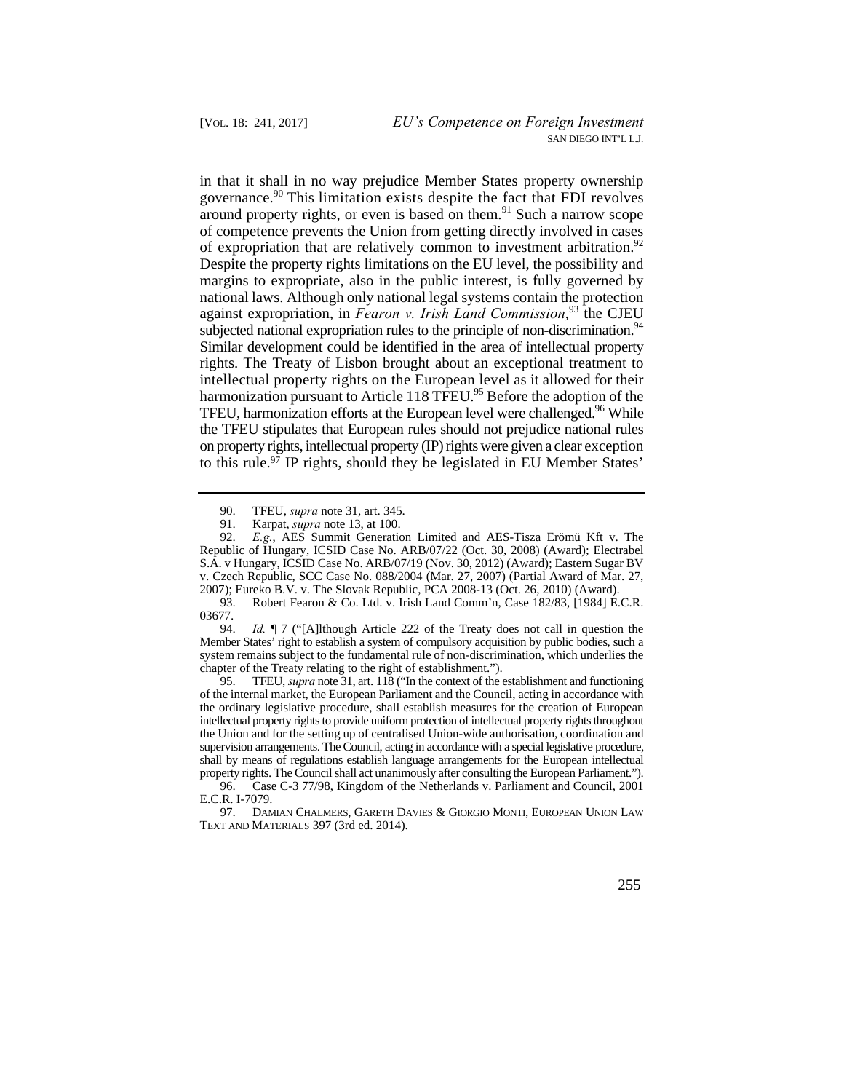governance.<sup>90</sup> This limitation exists despite the fact that FDI revolves intellectual property rights on the European level as it allowed for their the TFEU stipulates that European rules should not prejudice national rules in that it shall in no way prejudice Member States property ownership around property rights, or even is based on them. $91$  Such a narrow scope of competence prevents the Union from getting directly involved in cases of expropriation that are relatively common to investment arbitration.<sup>92</sup> Despite the property rights limitations on the EU level, the possibility and margins to expropriate, also in the public interest, is fully governed by national laws. Although only national legal systems contain the protection against expropriation, in *Fearon v. Irish Land Commission*, 93 the CJEU subjected national expropriation rules to the principle of non-discrimination.<sup>94</sup> Similar development could be identified in the area of intellectual property rights. The Treaty of Lisbon brought about an exceptional treatment to harmonization pursuant to Article 118 TFEU.<sup>95</sup> Before the adoption of the TFEU, harmonization efforts at the European level were challenged.<sup>96</sup> While on property rights, intellectual property (IP) rights were given a clear exception to this rule.97 IP rights, should they be legislated in EU Member States'

93. Robert Fearon & Co. Ltd. v. Irish Land Comm'n, Case 182/83, [1984] E.C.R. 03677.

 Member States' right to establish a system of compulsory acquisition by public bodies, such a 94. *Id.* ¶ 7 ("[A]lthough Article 222 of the Treaty does not call in question the system remains subject to the fundamental rule of non-discrimination, which underlies the chapter of the Treaty relating to the right of establishment.").

 $95.$  supervision arrangements. The Council, acting in accordance with a special legislative procedure, shall by means of regulations establish language arrangements for the European intellectual 95. TFEU, *supra* note 31, art. 118 ("In the context of the establishment and functioning of the internal market, the European Parliament and the Council, acting in accordance with the ordinary legislative procedure, shall establish measures for the creation of European intellectual property rights to provide uniform protection of intellectual property rights throughout the Union and for the setting up of centralised Union-wide authorisation, coordination and property rights. The Council shall act unanimously after consulting the European Parliament.").

<sup>97.</sup> DAMIAN CHALMERS, GARETH DAVIES & GIORGIO MONTI, EUROPEAN UNION LAW TEXT AND MATERIALS 397 (3rd ed. 2014).



<sup>90.&</sup>lt;br>91. 90. TFEU, *supra* note 31, art. 345.

 <sup>91.</sup> Karpat, *supra* note 13, at 100.

<sup>92.</sup> *E.g.*, AES Summit Generation Limited and AES-Tisza Erömü Kft v. The Republic of Hungary, ICSID Case No. ARB/07/22 (Oct. 30, 2008) (Award); Electrabel S.A. v Hungary, ICSID Case No. ARB/07/19 (Nov. 30, 2012) (Award); Eastern Sugar BV v. Czech Republic, SCC Case No. 088/2004 (Mar. 27, 2007) (Partial Award of Mar. 27, 2007); Eureko B.V. v. The Slovak Republic, PCA 2008-13 (Oct. 26, 2010) (Award).

<sup>96.</sup> Case C-3 77/98, Kingdom of the Netherlands v. Parliament and Council, 2001 E.C.R. I-7079.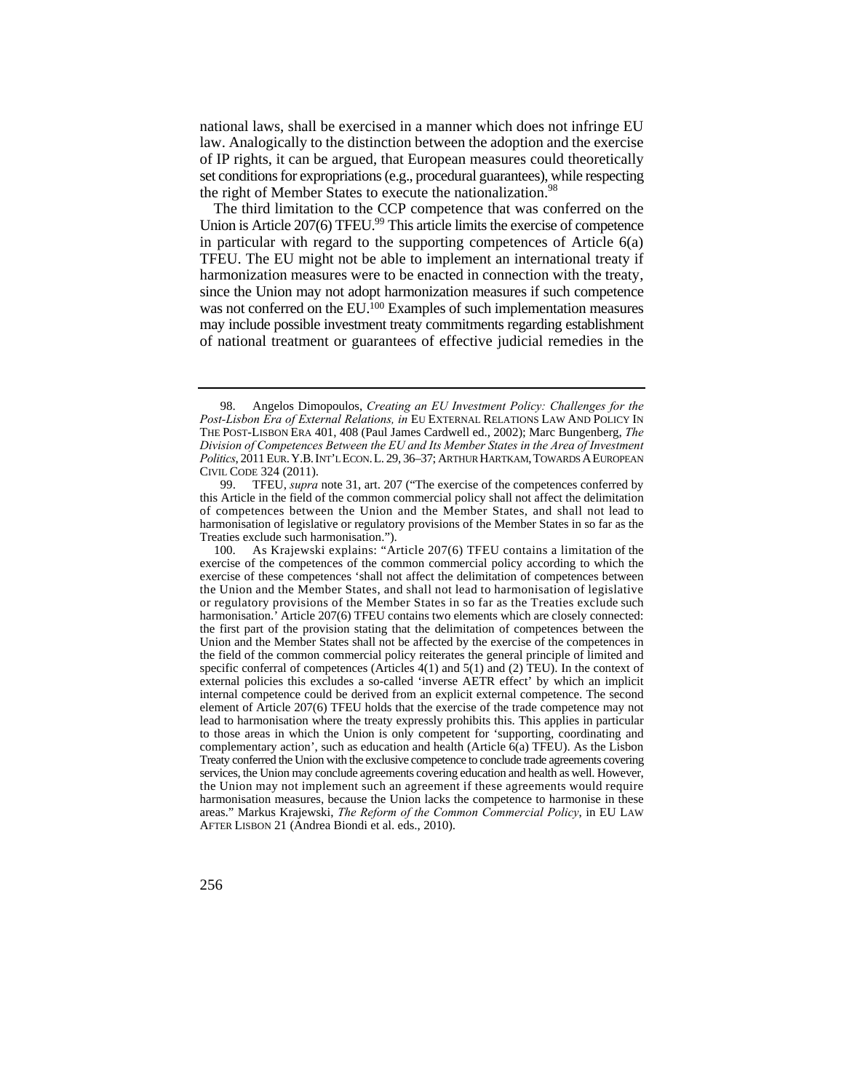national laws, shall be exercised in a manner which does not infringe EU law. Analogically to the distinction between the adoption and the exercise of IP rights, it can be argued, that European measures could theoretically set conditions for expropriations (e.g., procedural guarantees), while respecting the right of Member States to execute the nationalization.<sup>98</sup>

The third limitation to the CCP competence that was conferred on the Union is Article  $207(6)$  TFEU.<sup>99</sup> This article limits the exercise of competence in particular with regard to the supporting competences of Article 6(a) TFEU. The EU might not be able to implement an international treaty if harmonization measures were to be enacted in connection with the treaty, since the Union may not adopt harmonization measures if such competence was not conferred on the EU.<sup>100</sup> Examples of such implementation measures may include possible investment treaty commitments regarding establishment of national treatment or guarantees of effective judicial remedies in the

 98. Angelos Dimopoulos, *Creating an EU Investment Policy: Challenges for the Politics*, 2011 EUR.Y.B.INT'L ECON.L. 29, 36–37; ARTHUR HARTKAM,TOWARDS AEUROPEAN *Post-Lisbon Era of External Relations, in* EU EXTERNAL RELATIONS LAW AND POLICY IN THE POST-LISBON ERA 401, 408 (Paul James Cardwell ed., 2002); Marc Bungenberg, *The Division of Competences Between the EU and Its Member States in the Area of Investment* CIVIL CODE 324 (2011).

<sup>99.</sup>  of competences between the Union and the Member States, and shall not lead to TFEU, *supra* note 31, art. 207 ("The exercise of the competences conferred by this Article in the field of the common commercial policy shall not affect the delimitation harmonisation of legislative or regulatory provisions of the Member States in so far as the Treaties exclude such harmonisation.").

 or regulatory provisions of the Member States in so far as the Treaties exclude such Union and the Member States shall not be affected by the exercise of the competences in external policies this excludes a so-called 'inverse AETR effect' by which an implicit internal competence could be derived from an explicit external competence. The second the Union may not implement such an agreement if these agreements would require areas." Markus Krajewski, *The Reform of the Common Commercial Policy*, in EU LAW 100. As Krajewski explains: "Article 207(6) TFEU contains a limitation of the exercise of the competences of the common commercial policy according to which the exercise of these competences 'shall not affect the delimitation of competences between the Union and the Member States, and shall not lead to harmonisation of legislative harmonisation.' Article 207(6) TFEU contains two elements which are closely connected: the first part of the provision stating that the delimitation of competences between the the field of the common commercial policy reiterates the general principle of limited and specific conferral of competences (Articles 4(1) and 5(1) and (2) TEU). In the context of element of Article 207(6) TFEU holds that the exercise of the trade competence may not lead to harmonisation where the treaty expressly prohibits this. This applies in particular to those areas in which the Union is only competent for 'supporting, coordinating and complementary action', such as education and health (Article 6(a) TFEU). As the Lisbon Treaty conferred the Union with the exclusive competence to conclude trade agreements covering services, the Union may conclude agreements covering education and health as well. However, harmonisation measures, because the Union lacks the competence to harmonise in these AFTER LISBON 21 (Andrea Biondi et al. eds., 2010).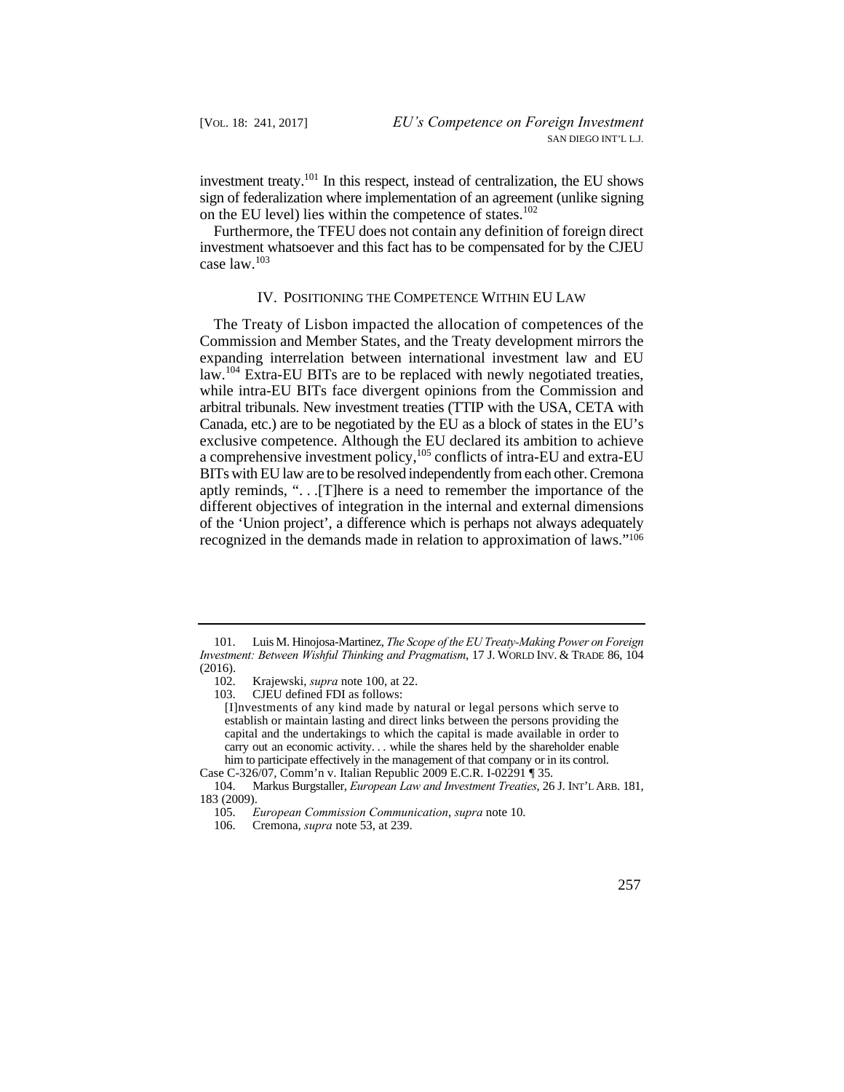investment treaty.101 In this respect, instead of centralization, the EU shows sign of federalization where implementation of an agreement (unlike signing on the EU level) lies within the competence of states.<sup>102</sup>

Furthermore, the TFEU does not contain any definition of foreign direct investment whatsoever and this fact has to be compensated for by the CJEU case law.<sup>103</sup>

## IV. POSITIONING THE COMPETENCE WITHIN EU LAW

 Canada, etc.) are to be negotiated by the EU as a block of states in the EU's BITs with EU law are to be resolved independently from each other. Cremona The Treaty of Lisbon impacted the allocation of competences of the Commission and Member States, and the Treaty development mirrors the expanding interrelation between international investment law and EU law.104 Extra-EU BITs are to be replaced with newly negotiated treaties, while intra-EU BITs face divergent opinions from the Commission and arbitral tribunals. New investment treaties (TTIP with the USA, CETA with exclusive competence. Although the EU declared its ambition to achieve a comprehensive investment policy, $105$  conflicts of intra-EU and extra-EU aptly reminds, ". . .[T]here is a need to remember the importance of the different objectives of integration in the internal and external dimensions of the 'Union project', a difference which is perhaps not always adequately recognized in the demands made in relation to approximation of laws."106

 *Investment: Between Wishful Thinking and Pragmatism*, 17 J. WORLD INV. & TRADE 86, 104 101. Luis M. Hinojosa-Martinez, *The Scope of the EU Treaty-Making Power on Foreign*   $(2016).$ <br> $102.$ 

<sup>102.</sup> Krajewski, *supra* note 100, at 22.

<sup>103.</sup> CJEU defined FDI as follows:

 carry out an economic activity. . . while the shares held by the shareholder enable him to participate effectively in the management of that company or in its control. [I]nvestments of any kind made by natural or legal persons which serve to establish or maintain lasting and direct links between the persons providing the capital and the undertakings to which the capital is made available in order to

Case C-326/07, Comm'n v. Italian Republic 2009 E.C.R. I-02291 ¶ 35.

<sup>104.</sup> Markus Burgstaller, *European Law and Investment Treaties*, 26 J. INT'L ARB. 181, 183 (2009).

<sup>105.</sup> *European Commission Communication*, *supra* note 10.

<sup>106.</sup> Cremona, *supra* note 53, at 239.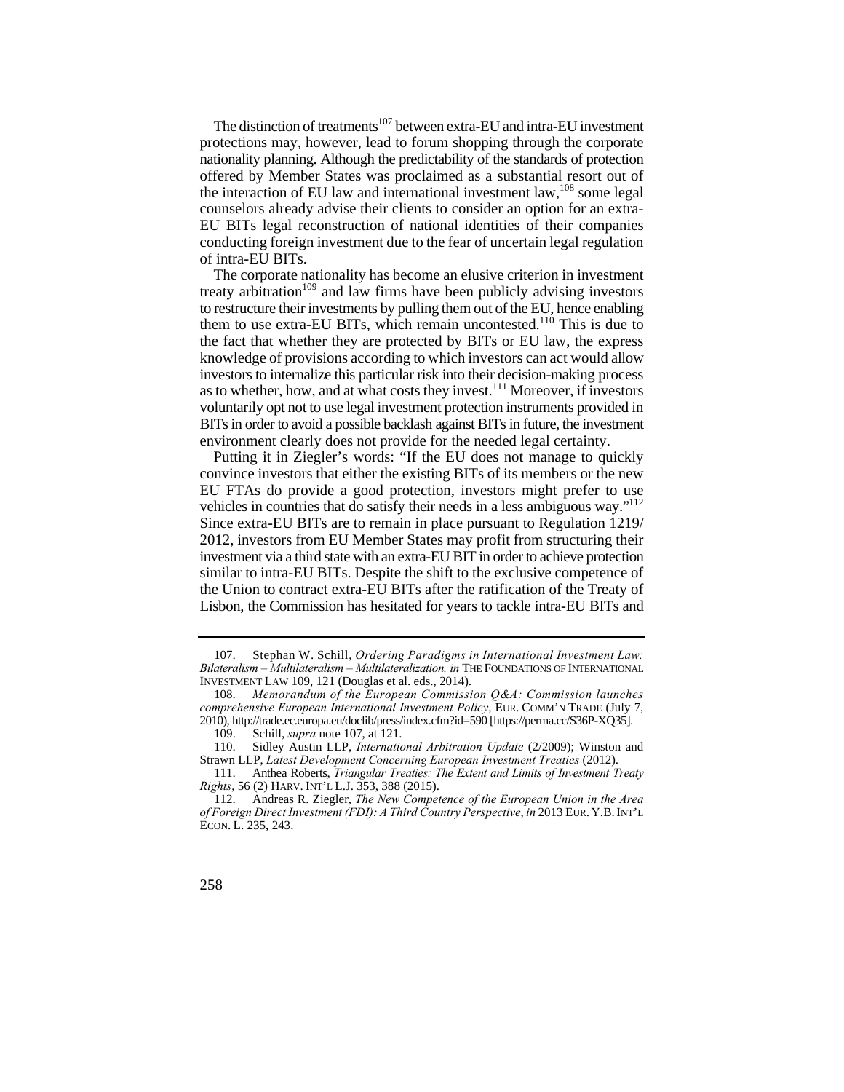The distinction of treatments<sup>107</sup> between extra-EU and intra-EU investment protections may, however, lead to forum shopping through the corporate nationality planning. Although the predictability of the standards of protection offered by Member States was proclaimed as a substantial resort out of the interaction of EU law and international investment  $law<sup>108</sup>$  some legal counselors already advise their clients to consider an option for an extra-EU BITs legal reconstruction of national identities of their companies conducting foreign investment due to the fear of uncertain legal regulation of intra-EU BITs.

 investors to internalize this particular risk into their decision-making process The corporate nationality has become an elusive criterion in investment treaty arbitration<sup>109</sup> and law firms have been publicly advising investors to restructure their investments by pulling them out of the EU, hence enabling them to use extra-EU BITs, which remain uncontested.<sup>110</sup> This is due to the fact that whether they are protected by BITs or EU law, the express knowledge of provisions according to which investors can act would allow as to whether, how, and at what costs they invest.<sup>111</sup> Moreover, if investors voluntarily opt not to use legal investment protection instruments provided in BITs in order to avoid a possible backlash against BITs in future, the investment environment clearly does not provide for the needed legal certainty.

Putting it in Ziegler's words: "If the EU does not manage to quickly convince investors that either the existing BITs of its members or the new EU FTAs do provide a good protection, investors might prefer to use vehicles in countries that do satisfy their needs in a less ambiguous way."112 Since extra-EU BITs are to remain in place pursuant to Regulation 1219/ 2012, investors from EU Member States may profit from structuring their investment via a third state with an extra-EU BIT in order to achieve protection similar to intra-EU BITs. Despite the shift to the exclusive competence of the Union to contract extra-EU BITs after the ratification of the Treaty of Lisbon, the Commission has hesitated for years to tackle intra-EU BITs and

<sup>107.</sup> Stephan W. Schill, *Ordering Paradigms in International Investment Law: Bilateralism – Multilateralism – Multilateralization, in* THE FOUNDATIONS OF INTERNATIONAL INVESTMENT LAW 109, 121 (Douglas et al. eds., 2014).

<sup>108.</sup> *Memorandum of the European Commission Q&A: Commission launches comprehensive European International Investment Policy*, EUR. COMM'N TRADE (July 7, 2010), http://trade.ec.europa.eu/doclib/press/index.cfm?id=590 [https://perma.cc/S36P-XQ35].

<sup>109.</sup> Schill, *supra* note 107, at 121.

<sup>110.</sup> Sidley Austin LLP, *International Arbitration Update* (2/2009); Winston and Strawn LLP, *Latest Development Concerning European Investment Treaties* (2012).

 111. Anthea Roberts, *Triangular Treaties: The Extent and Limits of Investment Treaty Rights*, 56 (2) HARV. INT'L L.J. 353, 388 (2015).

 *of Foreign Direct Investment (FDI): A Third Country Perspective*, *in* 2013 EUR. Y.B. INT'L 112. Andreas R. Ziegler, *The New Competence of the European Union in the Area*  ECON. L. 235, 243.

<sup>258</sup>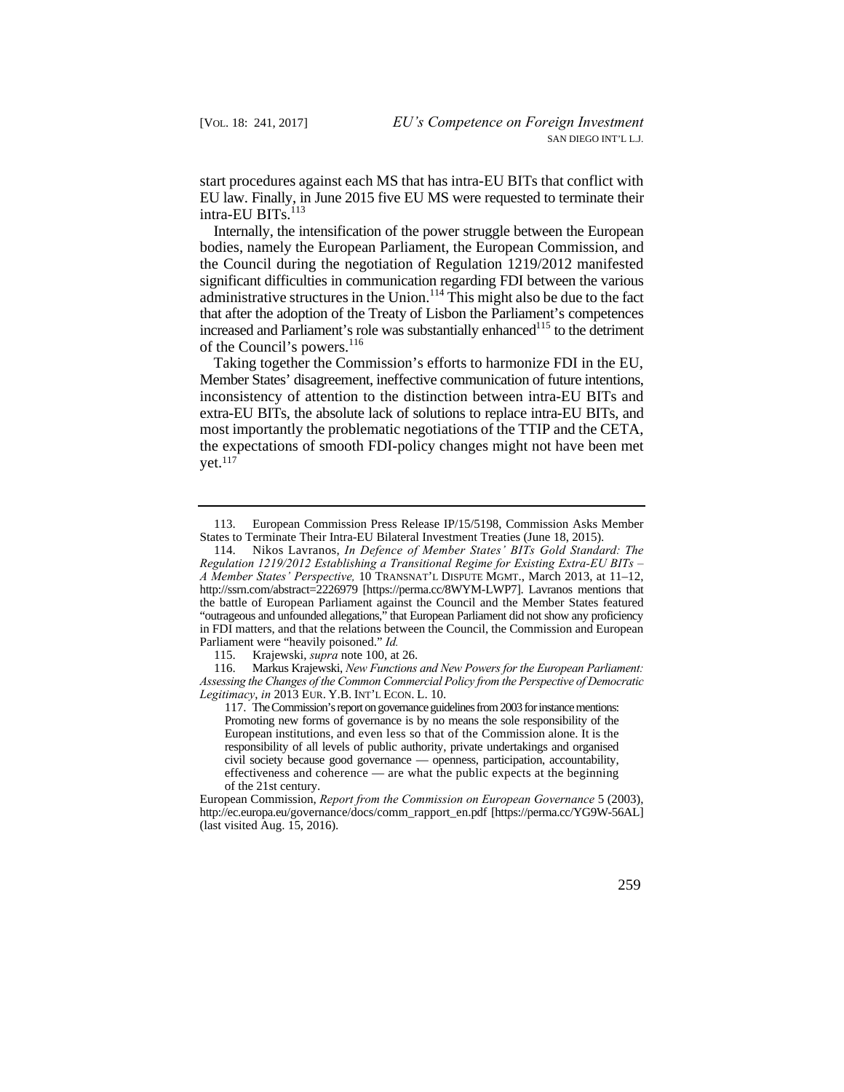start procedures against each MS that has intra-EU BITs that conflict with EU law. Finally, in June 2015 five EU MS were requested to terminate their intra-EU BITs.<sup>113</sup>

Internally, the intensification of the power struggle between the European bodies, namely the European Parliament, the European Commission, and the Council during the negotiation of Regulation 1219/2012 manifested significant difficulties in communication regarding FDI between the various administrative structures in the Union.<sup>114</sup> This might also be due to the fact that after the adoption of the Treaty of Lisbon the Parliament's competences increased and Parliament's role was substantially enhanced<sup>115</sup> to the detriment of the Council's powers.<sup>116</sup>

 extra-EU BITs, the absolute lack of solutions to replace intra-EU BITs, and Taking together the Commission's efforts to harmonize FDI in the EU, Member States' disagreement, ineffective communication of future intentions, inconsistency of attention to the distinction between intra-EU BITs and most importantly the problematic negotiations of the TTIP and the CETA, the expectations of smooth FDI-policy changes might not have been met yet.117

European Commission, *Report from the Commission on European Governance* 5 (2003), http://ec.europa.eu/governance/docs/comm\_rapport\_en.pdf [https://perma.cc/YG9W-56AL] (last visited Aug. 15, 2016).



<sup>113.</sup> European Commission Press Release IP/15/5198, Commission Asks Member States to Terminate Their Intra-EU Bilateral Investment Treaties (June 18, 2015).

 114. Nikos Lavranos, *In Defence of Member States' BITs Gold Standard: The*  "outrageous and unfounded allegations," that European Parliament did not show any proficiency *Regulation 1219/2012 Establishing a Transitional Regime for Existing Extra-EU BITs – A Member States' Perspective,* 10 TRANSNAT'L DISPUTE MGMT., March 2013, at 11–12, http://ssrn.com/abstract=2226979 [https://perma.cc/8WYM-LWP7]. Lavranos mentions that the battle of European Parliament against the Council and the Member States featured in FDI matters, and that the relations between the Council, the Commission and European Parliament were "heavily poisoned." *Id.*

 <sup>115.</sup> Krajewski, *supra* note 100, at 26.

 116. Markus Krajewski, *New Functions and New Powers for the European Parliament: Legitimacy*, *in* 2013 EUR. Y.B. INT'L ECON. L. 10. *Assessing the Changes of the Common Commercial Policy from the Perspective of Democratic*

 117. TheCommission's report ongovernance guidelines from 2003 forinstance mentions: Promoting new forms of governance is by no means the sole responsibility of the civil society because good governance — openness, participation, accountability, European institutions, and even less so that of the Commission alone. It is the responsibility of all levels of public authority, private undertakings and organised effectiveness and coherence — are what the public expects at the beginning of the 21st century.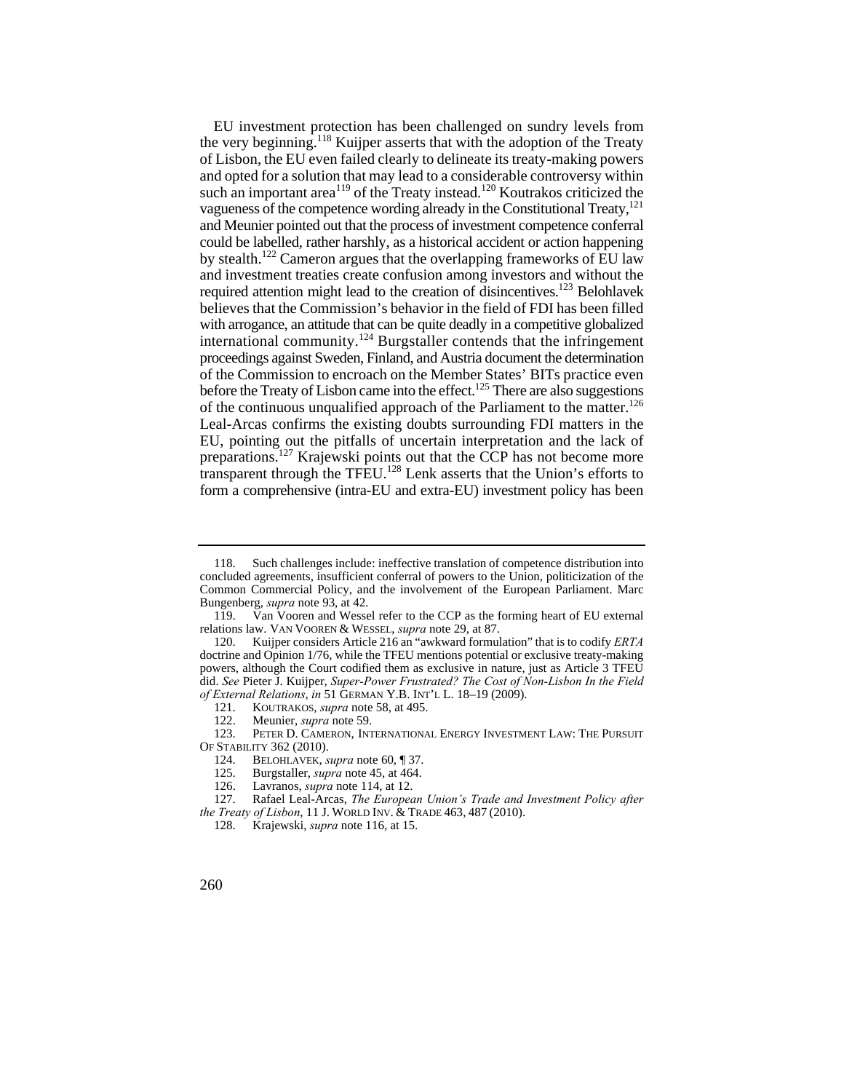and opted for a solution that may lead to a considerable controversy within international community.<sup>124</sup> Burgstaller contends that the infringement preparations.<sup>127</sup> Krajewski points out that the CCP has not become more EU investment protection has been challenged on sundry levels from the very beginning.118 Kuijper asserts that with the adoption of the Treaty of Lisbon, the EU even failed clearly to delineate its treaty-making powers such an important area<sup>119</sup> of the Treaty instead.<sup>120</sup> Koutrakos criticized the vagueness of the competence wording already in the Constitutional Treaty,<sup>121</sup> and Meunier pointed out that the process of investment competence conferral could be labelled, rather harshly, as a historical accident or action happening by stealth.122 Cameron argues that the overlapping frameworks of EU law and investment treaties create confusion among investors and without the required attention might lead to the creation of disincentives.<sup>123</sup> Belohlavek believes that the Commission's behavior in the field of FDI has been filled with arrogance, an attitude that can be quite deadly in a competitive globalized proceedings against Sweden, Finland, and Austria document the determination of the Commission to encroach on the Member States' BITs practice even before the Treaty of Lisbon came into the effect.<sup>125</sup> There are also suggestions of the continuous unqualified approach of the Parliament to the matter.<sup>126</sup> Leal-Arcas confirms the existing doubts surrounding FDI matters in the EU, pointing out the pitfalls of uncertain interpretation and the lack of transparent through the TFEU.128 Lenk asserts that the Union's efforts to form a comprehensive (intra-EU and extra-EU) investment policy has been

<sup>118.</sup> Such challenges include: ineffective translation of competence distribution into concluded agreements, insufficient conferral of powers to the Union, politicization of the Common Commercial Policy, and the involvement of the European Parliament. Marc Bungenberg, *supra* note 93, at 42.

<sup>119.</sup> Van Vooren and Wessel refer to the CCP as the forming heart of EU external relations law. VAN VOOREN & WESSEL, *supra* note 29, at 87.

<sup>120.</sup> Kuijper considers Article 216 an "awkward formulation" that is to codify *ERTA*  doctrine and Opinion 1/76, while the TFEU mentions potential or exclusive treaty-making powers, although the Court codified them as exclusive in nature, just as Article 3 TFEU did. *See* Pieter J. Kuijper, *Super-Power Frustrated? The Cost of Non-Lisbon In the Field of External Relations*, *in* 51 GERMAN Y.B. INT'L L. 18–19 (2009).

<sup>121.</sup> KOUTRAKOS, *supra* note 58, at 495.

<sup>122.</sup> Meunier, *supra* note 59.<br>123. PETER D. CAMERON, INT

PETER D. CAMERON, INTERNATIONAL ENERGY INVESTMENT LAW: THE PURSUIT OF STABILITY 362 (2010).

<sup>124.</sup> BELOHLAVEK, *supra* note 60, ¶ 37.

 125. Burgstaller, *supra* note 45, at 464.

<sup>126.</sup> Lavranos, *supra* note 114, at 12.

 *the Treaty of Lisbon*, 11 J. WORLD INV. & TRADE 463, 487 (2010). 127. Rafael Leal-Arcas, *The European Union's Trade and Investment Policy after* 

<sup>128.</sup> Krajewski, *supra* note 116, at 15.

<sup>260</sup>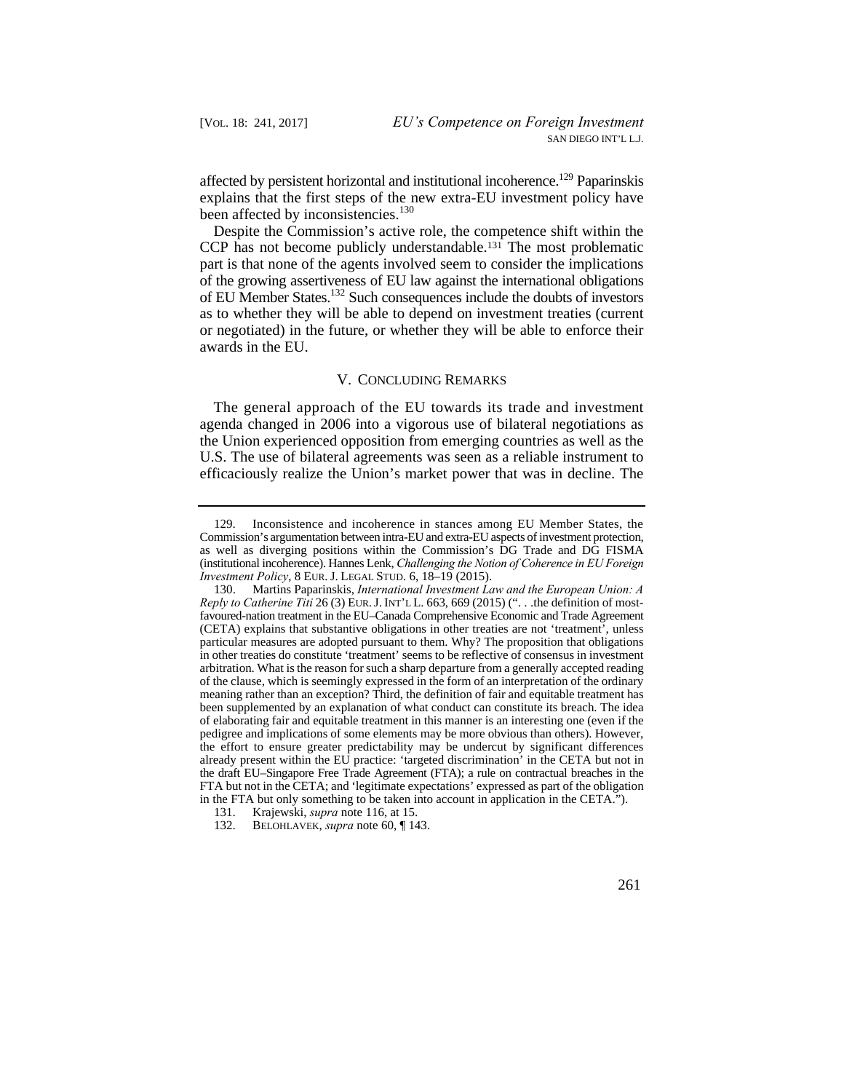affected by persistent horizontal and institutional incoherence.<sup>129</sup> Paparinskis explains that the first steps of the new extra-EU investment policy have been affected by inconsistencies.<sup>130</sup>

Despite the Commission's active role, the competence shift within the CCP has not become publicly understandable.131 The most problematic part is that none of the agents involved seem to consider the implications of the growing assertiveness of EU law against the international obligations of EU Member States.132 Such consequences include the doubts of investors as to whether they will be able to depend on investment treaties (current or negotiated) in the future, or whether they will be able to enforce their awards in the EU.

## V. CONCLUDING REMARKS

The general approach of the EU towards its trade and investment agenda changed in 2006 into a vigorous use of bilateral negotiations as the Union experienced opposition from emerging countries as well as the U.S. The use of bilateral agreements was seen as a reliable instrument to efficaciously realize the Union's market power that was in decline. The

 *Investment Policy*, 8 EUR. J. LEGAL STUD. 6, 18–19 (2015). 129. Inconsistence and incoherence in stances among EU Member States, the Commission's argumentation between intra-EU and extra-EU aspects of investment protection, as well as diverging positions within the Commission's DG Trade and DG FISMA (institutional incoherence). Hannes Lenk, *Challenging the Notion of Coherence in EU Foreign* 

 130. Martins Paparinskis, *International Investment Law and the European Union: A Reply to Catherine Titi* 26 (3) EUR. J. INT'L L. 663, 669 (2015) (". . .the definition of most- of the clause, which is seemingly expressed in the form of an interpretation of the ordinary the draft EU–Singapore Free Trade Agreement (FTA); a rule on contractual breaches in the favoured-nation treatment in the EU–Canada Comprehensive Economic and Trade Agreement (CETA) explains that substantive obligations in other treaties are not 'treatment', unless particular measures are adopted pursuant to them. Why? The proposition that obligations in other treaties do constitute 'treatment' seems to be reflective of consensus in investment arbitration. What is the reason for such a sharp departure from a generally accepted reading meaning rather than an exception? Third, the definition of fair and equitable treatment has been supplemented by an explanation of what conduct can constitute its breach. The idea of elaborating fair and equitable treatment in this manner is an interesting one (even if the pedigree and implications of some elements may be more obvious than others). However, the effort to ensure greater predictability may be undercut by significant differences already present within the EU practice: 'targeted discrimination' in the CETA but not in FTA but not in the CETA; and 'legitimate expectations' expressed as part of the obligation in the FTA but only something to be taken into account in application in the CETA.").

<sup>131.</sup> Krajewski, *supra* note 116, at 15.

<sup>132.</sup> BELOHLAVEK, *supra* note 60, ¶ 143.